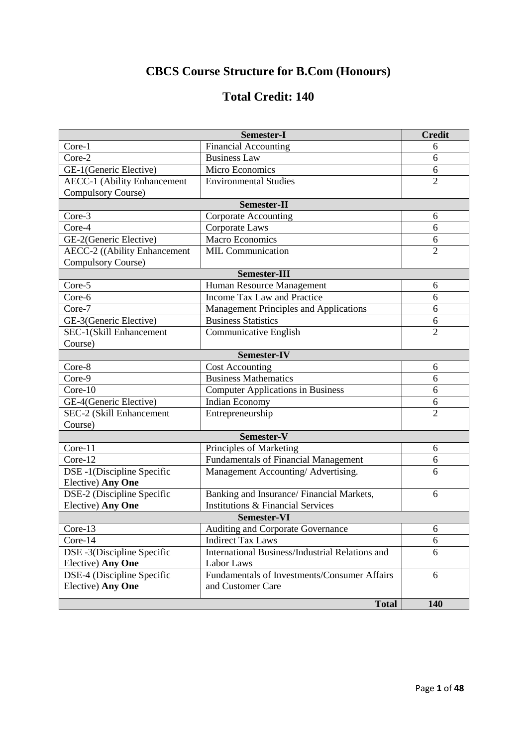# **CBCS Course Structure for B.Com (Honours)**

# **Total Credit: 140**

|                                     | <b>Semester-I</b>                               | <b>Credit</b>  |
|-------------------------------------|-------------------------------------------------|----------------|
| Core-1                              | <b>Financial Accounting</b>                     | 6              |
| Core-2                              | <b>Business Law</b>                             | 6              |
| GE-1(Generic Elective)              | Micro Economics                                 | 6              |
| <b>AECC-1 (Ability Enhancement</b>  | <b>Environmental Studies</b>                    | $\overline{2}$ |
| Compulsory Course)                  |                                                 |                |
| Semester-II                         |                                                 |                |
| Core-3                              | <b>Corporate Accounting</b>                     | 6              |
| Core-4                              | Corporate Laws                                  | 6              |
| GE-2(Generic Elective)              | <b>Macro Economics</b>                          | 6              |
| <b>AECC-2</b> ((Ability Enhancement | <b>MIL Communication</b>                        | $\overline{2}$ |
| Compulsory Course)                  |                                                 |                |
| <b>Semester-III</b>                 |                                                 |                |
| Core-5                              | Human Resource Management                       | 6              |
| Core-6                              | Income Tax Law and Practice                     | 6              |
| Core-7                              | Management Principles and Applications          | 6              |
| GE-3(Generic Elective)              | <b>Business Statistics</b>                      | 6              |
| SEC-1(Skill Enhancement             | Communicative English                           | $\overline{2}$ |
| Course)                             |                                                 |                |
| <b>Semester-IV</b>                  |                                                 |                |
| Core-8                              | <b>Cost Accounting</b>                          | 6              |
| Core-9                              | <b>Business Mathematics</b>                     | 6              |
| Core-10                             | <b>Computer Applications in Business</b>        | 6              |
| GE-4(Generic Elective)              | Indian Economy                                  | 6              |
| SEC-2 (Skill Enhancement            | Entrepreneurship                                | $\overline{2}$ |
| Course)                             |                                                 |                |
| Semester-V                          |                                                 |                |
| Core-11                             | Principles of Marketing                         | 6              |
| Core-12                             | <b>Fundamentals of Financial Management</b>     | 6              |
| DSE -1(Discipline Specific          | Management Accounting/Advertising.              | 6              |
| Elective) Any One                   |                                                 |                |
| DSE-2 (Discipline Specific          | Banking and Insurance/Financial Markets,        | 6              |
| Elective) Any One                   | <b>Institutions &amp; Financial Services</b>    |                |
| <b>Semester-VI</b>                  |                                                 |                |
| Core-13                             | Auditing and Corporate Governance               | 6              |
| Core-14                             | <b>Indirect Tax Laws</b>                        | 6              |
| DSE -3(Discipline Specific          | International Business/Industrial Relations and | 6              |
| Elective) Any One                   | Labor Laws                                      |                |
| DSE-4 (Discipline Specific          | Fundamentals of Investments/Consumer Affairs    | 6              |
| Elective) Any One                   | and Customer Care                               |                |
|                                     | <b>Total</b>                                    | 140            |
|                                     |                                                 |                |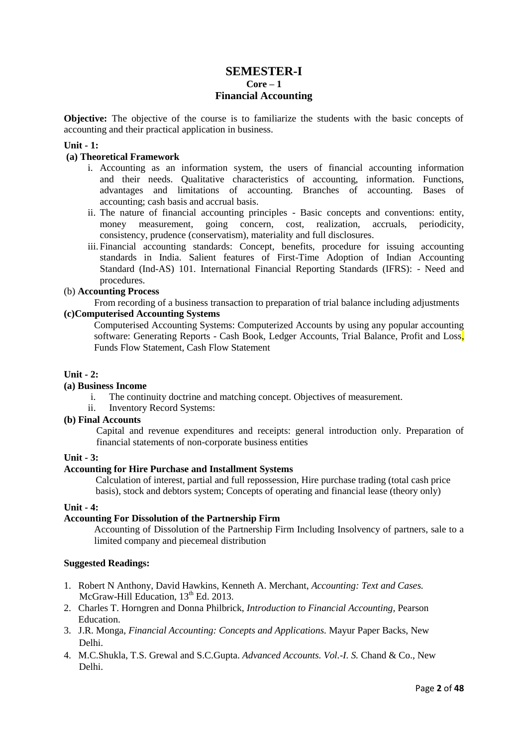# **SEMESTER-I Core – 1 Financial Accounting**

**Objective:** The objective of the course is to familiarize the students with the basic concepts of accounting and their practical application in business.

# **Unit - 1:**

#### **(a) Theoretical Framework**

- i. Accounting as an information system, the users of financial accounting information and their needs. Qualitative characteristics of accounting, information. Functions, advantages and limitations of accounting. Branches of accounting. Bases of accounting; cash basis and accrual basis.
- ii. The nature of financial accounting principles Basic concepts and conventions: entity, money measurement, going concern, cost, realization, accruals, periodicity, consistency, prudence (conservatism), materiality and full disclosures.
- iii. Financial accounting standards: Concept, benefits, procedure for issuing accounting standards in India. Salient features of First-Time Adoption of Indian Accounting Standard (Ind-AS) 101. International Financial Reporting Standards (IFRS): - Need and procedures.

#### (b) **Accounting Process**

From recording of a business transaction to preparation of trial balance including adjustments **(c)Computerised Accounting Systems**

Computerised Accounting Systems: Computerized Accounts by using any popular accounting software: Generating Reports - Cash Book, Ledger Accounts. Trial Balance. Profit and Loss Funds Flow Statement, Cash Flow Statement

## **Unit - 2:**

# **(a) Business Income**

- i. The continuity doctrine and matching concept. Objectives of measurement.
- ii. Inventory Record Systems:

# **(b) Final Accounts**

Capital and revenue expenditures and receipts: general introduction only. Preparation of financial statements of non-corporate business entities

#### **Unit - 3:**

#### **Accounting for Hire Purchase and Installment Systems**

Calculation of interest, partial and full repossession, Hire purchase trading (total cash price basis), stock and debtors system; Concepts of operating and financial lease (theory only)

#### **Unit - 4:**

## **Accounting For Dissolution of the Partnership Firm**

Accounting of Dissolution of the Partnership Firm Including Insolvency of partners, sale to a limited company and piecemeal distribution

- 1. Robert N Anthony, David Hawkins, Kenneth A. Merchant, *Accounting: Text and Cases.* McGraw-Hill Education, 13<sup>th</sup> Ed. 2013.
- 2. Charles T. Horngren and Donna Philbrick, *Introduction to Financial Accounting,* Pearson Education.
- 3. J.R. Monga, *Financial Accounting: Concepts and Applications.* Mayur Paper Backs, New Delhi.
- 4. M.C.Shukla, T.S. Grewal and S.C.Gupta. *Advanced Accounts. Vol.-I. S.* Chand & Co., New Delhi.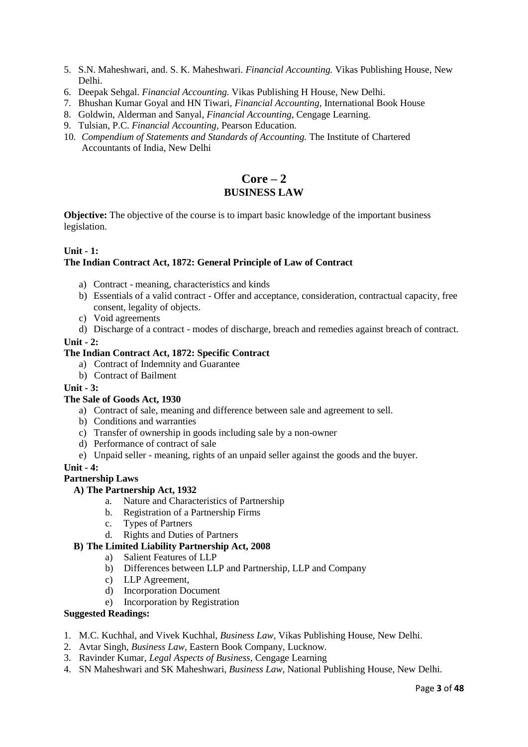- 5. S.N. Maheshwari, and. S. K. Maheshwari. *Financial Accounting.* Vikas Publishing House, New Delhi.
- 6. Deepak Sehgal. *Financial Accounting.* Vikas Publishing H House, New Delhi.
- 7. Bhushan Kumar Goyal and HN Tiwari, *Financial Accounting,* International Book House
- 8. Goldwin, Alderman and Sanyal, *Financial Accounting,* Cengage Learning.
- 9. Tulsian, P.C. *Financial Accounting,* Pearson Education.
- 10. *Compendium of Statements and Standards of Accounting.* The Institute of Chartered Accountants of India, New Delhi

# **Core – 2 BUSINESS LAW**

**Objective:** The objective of the course is to impart basic knowledge of the important business legislation.

# **Unit - 1:**

# **The Indian Contract Act, 1872: General Principle of Law of Contract**

- a) Contract meaning, characteristics and kinds
- b) Essentials of a valid contract Offer and acceptance, consideration, contractual capacity, free consent, legality of objects.
- c) Void agreements
- d) Discharge of a contract modes of discharge, breach and remedies against breach of contract.

# **Unit - 2:**

## **The Indian Contract Act, 1872: Specific Contract**

- a) Contract of Indemnity and Guarantee
- b) Contract of Bailment

# **Unit - 3:**

- **The Sale of Goods Act, 1930**
	- a) Contract of sale, meaning and difference between sale and agreement to sell.
	- b) Conditions and warranties
	- c) Transfer of ownership in goods including sale by a non-owner
	- d) Performance of contract of sale
	- e) Unpaid seller meaning, rights of an unpaid seller against the goods and the buyer.

#### **Unit - 4:**

# **Partnership Laws**

# **A) The Partnership Act, 1932**

- a. Nature and Characteristics of Partnership
- b. Registration of a Partnership Firms
- c. Types of Partners
- d. Rights and Duties of Partners

# **B) The Limited Liability Partnership Act, 2008**

- a) Salient Features of LLP
- b) Differences between LLP and Partnership, LLP and Company
- c) LLP Agreement,
- d) Incorporation Document
- e) Incorporation by Registration

- 1. M.C. Kuchhal, and Vivek Kuchhal, *Business Law,* Vikas Publishing House, New Delhi.
- 2. Avtar Singh, *Business Law,* Eastern Book Company, Lucknow.
- 3. Ravinder Kumar, *Legal Aspects of Business,* Cengage Learning
- 4. SN Maheshwari and SK Maheshwari, *Business Law,* National Publishing House, New Delhi.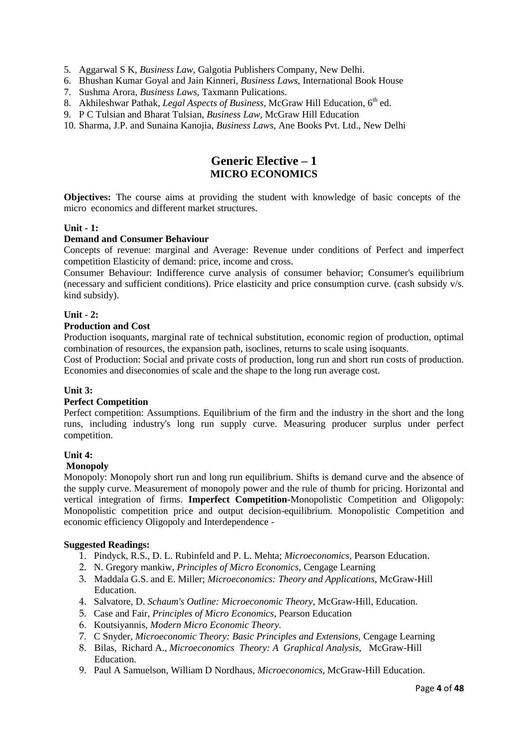- 5. Aggarwal S K, *Business Law,* Galgotia Publishers Company, New Delhi.
- 6. Bhushan Kumar Goyal and Jain Kinneri, *Business Laws,* International Book House
- 7. Sushma Arora, *Business Laws,* Taxmann Pulications.
- 8. Akhileshwar Pathak, *Legal Aspects of Business*, McGraw Hill Education, 6<sup>th</sup> ed.
- 9. P C Tulsian and Bharat Tulsian, *Business Law,* McGraw Hill Education
- 10. Sharma, J.P. and Sunaina Kanojia, *Business Laws,* Ane Books Pvt. Ltd., New Delhi

# **Generic Elective – 1 MICRO ECONOMICS**

**Objectives:** The course aims at providing the student with knowledge of basic concepts of the micro economics and different market structures.

# **Unit - 1:**

# **Demand and Consumer Behaviour**

Concepts of revenue: marginal and Average: Revenue under conditions of Perfect and imperfect competition Elasticity of demand: price, income and cross.

Consumer Behaviour: Indifference curve analysis of consumer behavior; Consumer's equilibrium (necessary and sufficient conditions). Price elasticity and price consumption curve. (cash subsidy v/s. kind subsidy).

# **Unit - 2:**

## **Production and Cost**

Production isoquants, marginal rate of technical substitution, economic region of production, optimal combination of resources, the expansion path, isoclines, returns to scale using isoquants.

Cost of Production: Social and private costs of production, long run and short run costs of production. Economies and diseconomies of scale and the shape to the long run average cost.

# **Unit 3:**

#### **Perfect Competition**

Perfect competition: Assumptions. Equilibrium of the firm and the industry in the short and the long runs, including industry's long run supply curve. Measuring producer surplus under perfect competition.

#### **Unit 4:**

#### **Monopoly**

Monopoly: Monopoly short run and long run equilibrium. Shifts is demand curve and the absence of the supply curve. Measurement of monopoly power and the rule of thumb for pricing. Horizontal and vertical integration of firms. **Imperfect Competition-**Monopolistic Competition and Oligopoly: Monopolistic competition price and output decision-equilibrium. Monopolistic Competition and economic efficiency Oligopoly and Interdependence -

- 1. Pindyck, R.S., D. L. Rubinfeld and P. L. Mehta; *Microeconomics,* Pearson Education.
- 2. N. Gregory mankiw, *Principles of Micro Economics,* Cengage Learning
- 3. Maddala G.S. and E. Miller; *Microeconomics: Theory and Applications,* McGraw-Hill Education.
- 4. Salvatore, D. *Schaum's Outline: Microeconomic Theory,* McGraw-Hill, Education.
- 5. Case and Fair, *Principles of Micro Economics,* Pearson Education
- 6. Koutsiyannis, *Modern Micro Economic Theory.*
- 7. C Snyder, *Microeconomic Theory: Basic Principles and Extensions,* Cengage Learning
- 8. Bilas, Richard A., *Microeconomics Theory: A Graphical Analysis,* McGraw-Hill Education.
- 9. Paul A Samuelson, William D Nordhaus, *Microeconomics,* McGraw-Hill Education.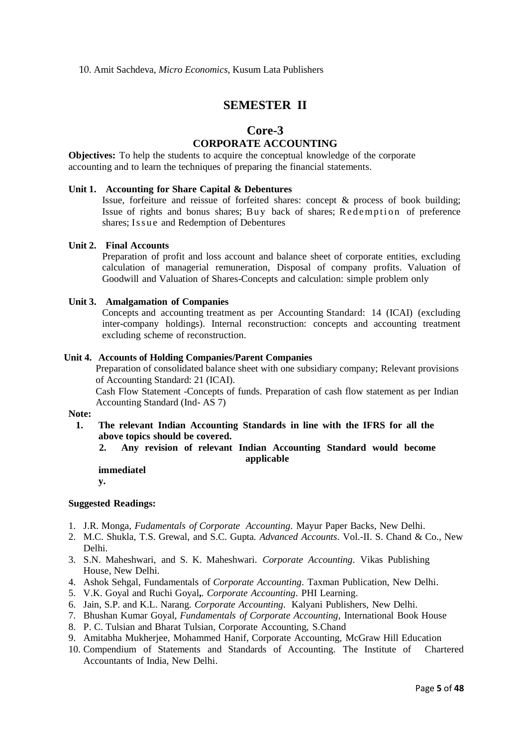# **SEMESTER II**

# **Core-3**

# **CORPORATE ACCOUNTING**

**Objectives:** To help the students to acquire the conceptual knowledge of the corporate accounting and to learn the techniques of preparing the financial statements.

# **Unit 1. Accounting for Share Capital & Debentures**

Issue, forfeiture and reissue of forfeited shares: concept & process of book building; Issue of rights and bonus shares; Buy back of shares; Redemption of preference shares; Issue and Redemption of Debentures

# **Unit 2. Final Accounts**

Preparation of profit and loss account and balance sheet of corporate entities, excluding calculation of managerial remuneration, Disposal of company profits. Valuation of Goodwill and Valuation of Shares-Concepts and calculation: simple problem only

#### **Unit 3. Amalgamation of Companies**

Concepts and accounting treatment as per Accounting Standard: 14 (ICAI) (excluding inter-company holdings). Internal reconstruction: concepts and accounting treatment excluding scheme of reconstruction.

#### **Unit 4. Accounts of Holding Companies/Parent Companies**

Preparation of consolidated balance sheet with one subsidiary company; Relevant provisions of Accounting Standard: 21 (ICAI).

Cash Flow Statement -Concepts of funds. Preparation of cash flow statement as per Indian Accounting Standard (Ind- AS 7)

#### **Note:**

- **1. The relevant Indian Accounting Standards in line with the IFRS for all the above topics should be covered.**
	- **2. Any revision of relevant Indian Accounting Standard would become applicable**

# **immediatel**

**y.**

- 1. J.R. Monga, *Fudamentals of Corporate Accounting*. Mayur Paper Backs, New Delhi.
- 2. M.C. Shukla, T.S. Grewal, and S.C. Gupta*. Advanced Accounts*. Vol.-II. S. Chand & Co., New Delhi.
- 3. S.N. Maheshwari, and S. K. Maheshwari. *Corporate Accounting*. Vikas Publishing House, New Delhi.
- 4. Ashok Sehgal, Fundamentals of *Corporate Accounting*. Taxman Publication, New Delhi.
- 5. V.K. Goyal and Ruchi Goyal**,***. Corporate Accounting*. PHI Learning.
- 6. Jain, S.P. and K.L. Narang. *Corporate Accounting*. Kalyani Publishers, New Delhi.
- 7. Bhushan Kumar Goyal, *Fundamentals of Corporate Accounting,* International Book House
- 8. P. C. Tulsian and Bharat Tulsian, Corporate Accounting, S.Chand
- 9. Amitabha Mukherjee, Mohammed Hanif, Corporate Accounting, McGraw Hill Education
- 10. Compendium of Statements and Standards of Accounting. The Institute of Chartered Accountants of India, New Delhi.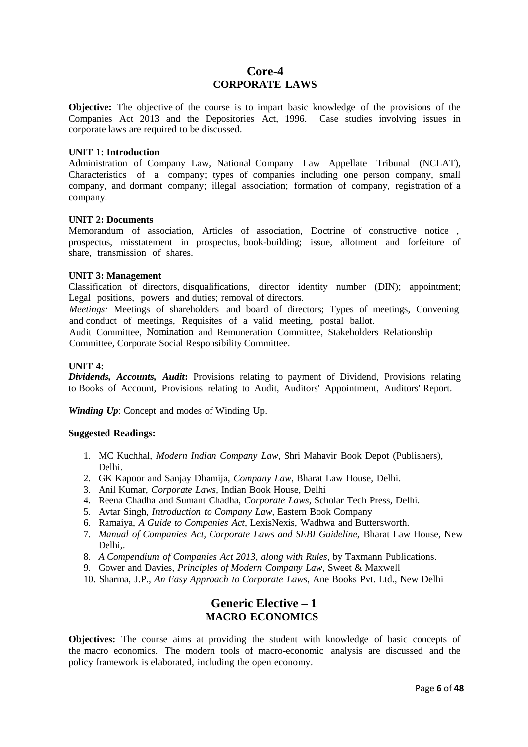# **Core-4 CORPORATE LAWS**

**Objective:** The objective of the course is to impart basic knowledge of the provisions of the Companies Act 2013 and the Depositories Act, 1996. Case studies involving issues in corporate laws are required to be discussed.

#### **UNIT 1: Introduction**

Administration of Company Law, National Company Law Appellate Tribunal (NCLAT), Characteristics of a company; types of companies including one person company, small company, and dormant company; illegal association; formation of company, registration of a company.

## **UNIT 2: Documents**

Memorandum of association, Articles of association, Doctrine of constructive notice , prospectus, misstatement in prospectus, book-building; issue, allotment and forfeiture of share, transmission of shares.

## **UNIT 3: Management**

Classification of directors, disqualifications, director identity number (DIN); appointment; Legal positions, powers and duties; removal of directors.

*Meetings:* Meetings of shareholders and board of directors; Types of meetings, Convening and conduct of meetings, Requisites of a valid meeting, postal ballot.

Audit Committee, Nomination and Remuneration Committee, Stakeholders Relationship Committee, Corporate Social Responsibility Committee.

## **UNIT 4:**

*Dividends, Accounts, Audit***:** Provisions relating to payment of Dividend, Provisions relating to Books of Account, Provisions relating to Audit, Auditors' Appointment, Auditors' Report.

*Winding Up*: Concept and modes of Winding Up.

#### **Suggested Readings:**

- 1. MC Kuchhal, *Modern Indian Company Law*, Shri Mahavir Book Depot (Publishers), Delhi.
- 2. GK Kapoor and Sanjay Dhamija, *Company Law*, Bharat Law House, Delhi.
- 3. Anil Kumar, *Corporate Laws,* Indian Book House, Delhi
- 4. Reena Chadha and Sumant Chadha, *Corporate Laws*, Scholar Tech Press, Delhi.
- 5. Avtar Singh*, Introduction to Company Law,* Eastern Book Company
- 6. Ramaiya, *A Guide to Companies Act*, LexisNexis, Wadhwa and Buttersworth.
- 7. *Manual of Companies Act, Corporate Laws and SEBI Guideline,* Bharat Law House, New Delhi,.
- 8. *A Compendium of Companies Act 2013, along with Rules*, by Taxmann Publications.
- 9. Gower and Davies, *Principles of Modern Company Law*, Sweet & Maxwell
- 10. Sharma, J.P., *An Easy Approach to Corporate Laws*, Ane Books Pvt. Ltd., New Delhi

# **Generic Elective – 1 MACRO ECONOMICS**

**Objectives:** The course aims at providing the student with knowledge of basic concepts of the macro economics. The modern tools of macro-economic analysis are discussed and the policy framework is elaborated, including the open economy.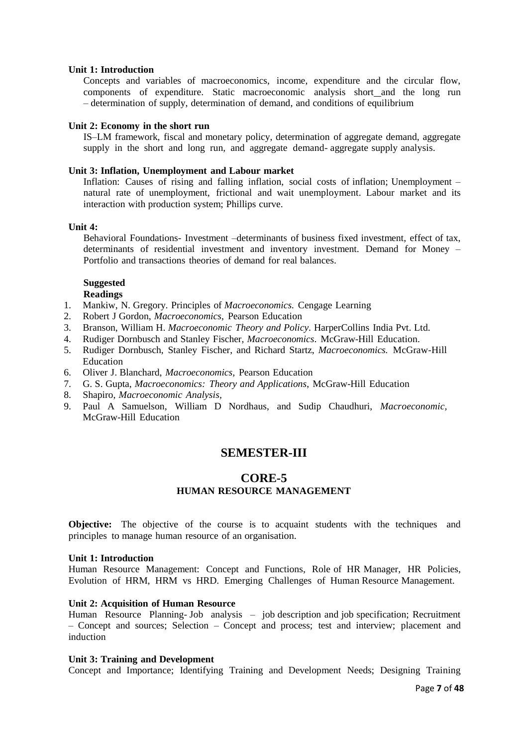#### **Unit 1: Introduction**

Concepts and variables of macroeconomics, income, expenditure and the circular flow, components of expenditure. Static macroeconomic analysis short and the long run – determination of supply, determination of demand, and conditions of equilibrium

# **Unit 2: Economy in the short run**

IS–LM framework, fiscal and monetary policy, determination of aggregate demand, aggregate supply in the short and long run, and aggregate demand- aggregate supply analysis.

## **Unit 3: Inflation, Unemployment and Labour market**

Inflation: Causes of rising and falling inflation, social costs of inflation; Unemployment – natural rate of unemployment, frictional and wait unemployment. Labour market and its interaction with production system; Phillips curve.

## **Unit 4:**

Behavioral Foundations- Investment –determinants of business fixed investment, effect of tax, determinants of residential investment and inventory investment. Demand for Money – Portfolio and transactions theories of demand for real balances.

# **Suggested**

# **Readings**

- 1. Mankiw, N. Gregory. Principles of *Macroeconomics.* Cengage Learning
- 2. Robert J Gordon, *Macroeconomics*, Pearson Education
- 3. Branson, William H. *Macroeconomic Theory and Policy*. HarperCollins India Pvt. Ltd.
- 4. Rudiger Dornbusch and Stanley Fischer, *Macroeconomics*. McGraw-Hill Education.
- 5. Rudiger Dornbusch, Stanley Fischer, and Richard Startz, *Macroeconomics.* McGraw-Hill Education
- 6. Oliver J. Blanchard, *Macroeconomics,* Pearson Education
- 7. G. S. Gupta, *Macroeconomics: Theory and Applications*, McGraw-Hill Education
- 8. Shapiro, *Macroeconomic Analysis,*
- 9. Paul A Samuelson, William D Nordhaus, and Sudip Chaudhuri, *Macroeconomic,* McGraw-Hill Education

# **SEMESTER-III**

# **CORE-5 HUMAN RESOURCE MANAGEMENT**

**Objective:** The objective of the course is to acquaint students with the techniques and principles to manage human resource of an organisation.

#### **Unit 1: Introduction**

Human Resource Management: Concept and Functions, Role of HR Manager, HR Policies, Evolution of HRM, HRM vs HRD. Emerging Challenges of Human Resource Management.

# **Unit 2: Acquisition of Human Resource**

Human Resource Planning- Job analysis – job description and job specification; Recruitment – Concept and sources; Selection – Concept and process; test and interview; placement and induction

#### **Unit 3: Training and Development**

Concept and Importance; Identifying Training and Development Needs; Designing Training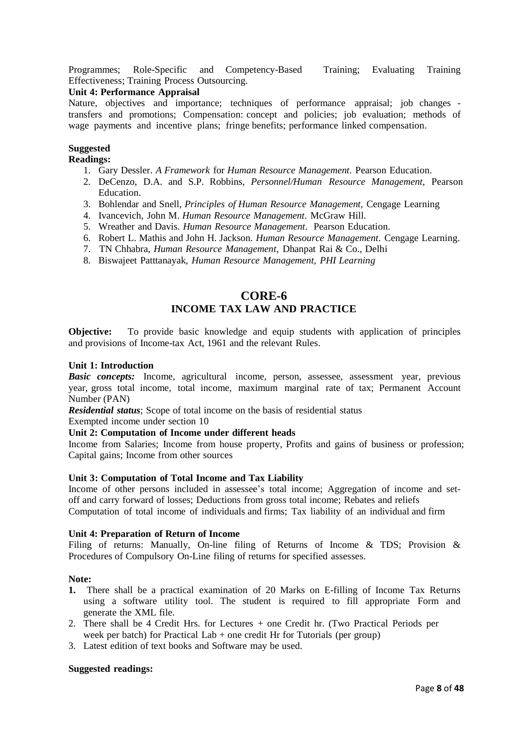Programmes; Role-Specific and Competency-Based Training; Evaluating Training Effectiveness; Training Process Outsourcing.

# **Unit 4: Performance Appraisal**

Nature, objectives and importance; techniques of performance appraisal; job changes transfers and promotions; Compensation: concept and policies; job evaluation; methods of wage payments and incentive plans; fringe benefits; performance linked compensation.

## **Suggested**

## **Readings:**

- 1. Gary Dessler. *A Framework* for *Human Resource Management*. Pearson Education.
- 2. DeCenzo, D.A. and S.P. Robbins, *Personnel/Human Resource Management*, Pearson Education.
- 3. Bohlendar and Snell, *Principles of Human Resource Management,* Cengage Learning
- 4. Ivancevich, John M. *Human Resource Management*. McGraw Hill.
- 5. Wreather and Davis. *Human Resource Management*. Pearson Education.
- 6. Robert L. Mathis and John H. Jackson. *Human Resource Management*. Cengage Learning.
- 7. TN Chhabra, *Human Resource Management,* Dhanpat Rai & Co., Delhi
- 8. Biswajeet Patttanayak, *Human Resource Management, PHI Learning*

# **CORE-6**

# **INCOME TAX LAW AND PRACTICE**

**Objective:** To provide basic knowledge and equip students with application of principles and provisions of Income-tax Act, 1961 and the relevant Rules.

## **Unit 1: Introduction**

**Basic** *concepts:* Income, agricultural income, person, assessee, assessment year, previous year, gross total income, total income, maximum marginal rate of tax; Permanent Account Number (PAN)

*Residential status*; Scope of total income on the basis of residential status

Exempted income under section 10

# **Unit 2: Computation of Income under different heads**

Income from Salaries; Income from house property, Profits and gains of business or profession; Capital gains; Income from other sources

#### **Unit 3: Computation of Total Income and Tax Liability**

Income of other persons included in assessee's total income; Aggregation of income and setoff and carry forward of losses; Deductions from gross total income; Rebates and reliefs Computation of total income of individuals and firms; Tax liability of an individual and firm

#### **Unit 4: Preparation of Return of Income**

Filing of returns: Manually, On-line filing of Returns of Income & TDS; Provision & Procedures of Compulsory On-Line filing of returns for specified assesses.

#### **Note:**

- **1.** There shall be a practical examination of 20 Marks on E-filling of Income Tax Returns using a software utility tool. The student is required to fill appropriate Form and generate the XML file.
- 2. There shall be 4 Credit Hrs. for Lectures + one Credit hr. (Two Practical Periods per week per batch) for Practical Lab  $+$  one credit Hr for Tutorials (per group)
- 3. Latest edition of text books and Software may be used.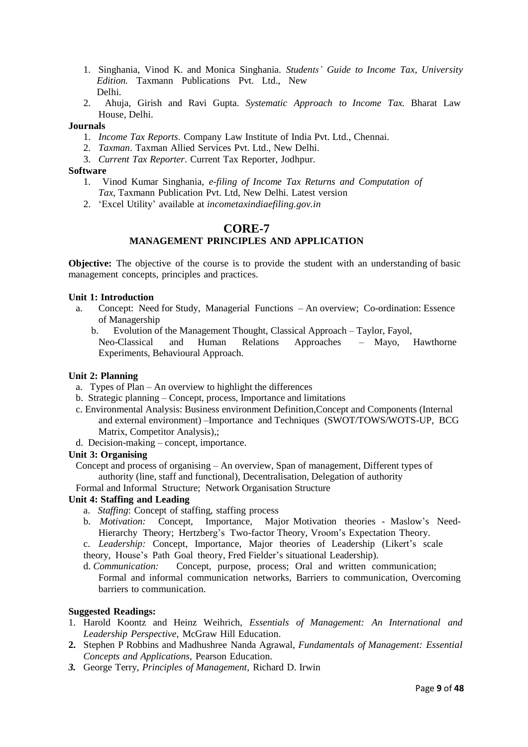- 1. Singhania, Vinod K. and Monica Singhania. *Students' Guide to Income Tax, University Edition.* Taxmann Publications Pvt. Ltd., New Delhi.
- 2. Ahuja, Girish and Ravi Gupta. *Systematic Approach to Income Tax.* Bharat Law House, Delhi.

## **Journals**

- 1. *Income Tax Reports*. Company Law Institute of India Pvt. Ltd., Chennai.
- 2. *Taxman*. Taxman Allied Services Pvt. Ltd., New Delhi.
- 3. *Current Tax Reporter*. Current Tax Reporter, Jodhpur.

# **Software**

- 1. Vinod Kumar Singhania, *e-filing of Income Tax Returns and Computation of Tax*, Taxmann Publication Pvt. Ltd, New Delhi. Latest version
- 2. 'Excel Utility' available at *incometaxindiaefiling.gov.in*

# **CORE-7 MANAGEMENT PRINCIPLES AND APPLICATION**

**Objective:** The objective of the course is to provide the student with an understanding of basic management concepts, principles and practices.

# **Unit 1: Introduction**

- a. Concept: Need for Study, Managerial Functions An overview; Co-ordination: Essence of Managership
	- b. Evolution of the Management Thought, Classical Approach Taylor, Fayol, Neo-Classical and Human Relations Approaches – Mayo, Hawthorne Experiments, Behavioural Approach.

#### **Unit 2: Planning**

- a. Types of Plan An overview to highlight the differences
- b. Strategic planning Concept, process, Importance and limitations
- c. Environmental Analysis: Business environment Definition,Concept and Components (Internal and external environment) –Importance and Techniques (SWOT/TOWS/WOTS-UP, BCG Matrix, Competitor Analysis),;
- d. Decision-making concept, importance.

# **Unit 3: Organising**

Concept and process of organising – An overview, Span of management, Different types of authority (line, staff and functional), Decentralisation, Delegation of authority

Formal and Informal Structure; Network Organisation Structure

# **Unit 4: Staffing and Leading**

- a. *Staffing*: Concept of staffing, staffing process
- b. *Motivation:* Concept, Importance, Major Motivation theories Maslow's Need-Hierarchy Theory; Hertzberg's Two-factor Theory, Vroom's Expectation Theory.

c. *Leadership:* Concept, Importance, Major theories of Leadership (Likert's scale

theory, House's Path Goal theory, Fred Fielder's situational Leadership).

d. *Communication:* Concept, purpose, process; Oral and written communication; Formal and informal communication networks, Barriers to communication, Overcoming barriers to communication.

- 1. Harold Koontz and Heinz Weihrich, *Essentials of Management: An International and Leadership Perspective*, McGraw Hill Education.
- **2.** Stephen P Robbins and Madhushree Nanda Agrawal, *Fundamentals of Management: Essential Concepts and Applications*, Pearson Education.
- *3.* George Terry, *Principles of Management*, Richard D. Irwin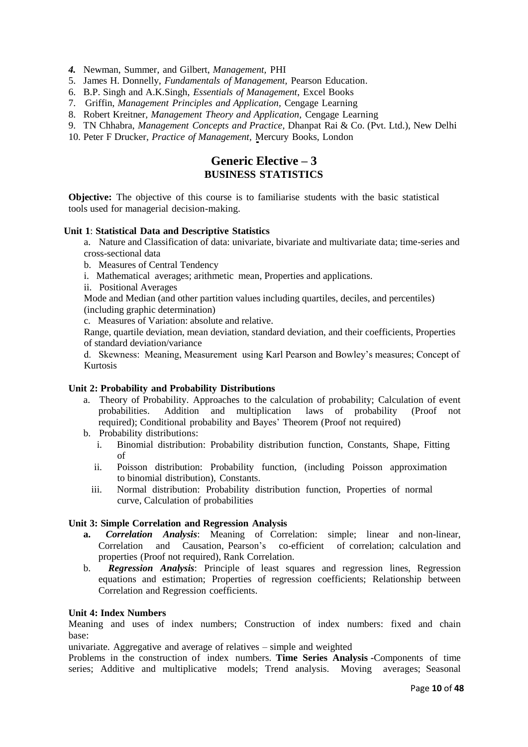- *4.* Newman, Summer, and Gilbert, *Management,* PHI
- 5. James H. Donnelly, *Fundamentals of Management,* Pearson Education.
- 6. B.P. Singh and A.K.Singh, *Essentials of Management*, Excel Books
- 7. Griffin, *Management Principles and Application,* Cengage Learning
- 8. Robert Kreitner*, Management Theory and Application,* Cengage Learning
- 9. TN Chhabra, *Management Concepts and Practice*, Dhanpat Rai & Co. (Pvt. Ltd.), New Delhi
- 10. Peter F Drucker, *Practice of Management,* Mercury Books, London

# **Generic Elective – 3 BUSINESS STATISTICS**

**Objective:** The objective of this course is to familiarise students with the basic statistical tools used for managerial decision-making.

## **Unit 1**: **Statistical Data and Descriptive Statistics**

a. Nature and Classification of data: univariate, bivariate and multivariate data; time-series and cross-sectional data

- b. Measures of Central Tendency
- i. Mathematical averages; arithmetic mean, Properties and applications.
- ii. Positional Averages

Mode and Median (and other partition values including quartiles, deciles, and percentiles) (including graphic determination)

c. Measures of Variation: absolute and relative.

Range, quartile deviation, mean deviation, standard deviation, and their coefficients, Properties of standard deviation/variance

d. Skewness: Meaning, Measurement using Karl Pearson and Bowley's measures; Concept of Kurtosis

#### **Unit 2: Probability and Probability Distributions**

- a. Theory of Probability. Approaches to the calculation of probability; Calculation of event probabilities. Addition and multiplication laws of probability (Proof not required); Conditional probability and Bayes' Theorem (Proof not required)
- b. Probability distributions:
	- i. Binomial distribution: Probability distribution function, Constants, Shape, Fitting of
	- ii. Poisson distribution: Probability function, (including Poisson approximation to binomial distribution), Constants.
	- iii. Normal distribution: Probability distribution function, Properties of normal curve, Calculation of probabilities

#### **Unit 3: Simple Correlation and Regression Analysis**

- **a.** *Correlation Analysis*: Meaning of Correlation: simple; linear and non-linear, Correlation and Causation, Pearson's co-efficient of correlation; calculation and properties (Proof not required), Rank Correlation.
- b. *Regression Analysis*: Principle of least squares and regression lines, Regression equations and estimation; Properties of regression coefficients; Relationship between Correlation and Regression coefficients.

#### **Unit 4: Index Numbers**

Meaning and uses of index numbers; Construction of index numbers: fixed and chain base:

univariate. Aggregative and average of relatives – simple and weighted

Problems in the construction of index numbers. **Time Series Analysis -**Components of time series; Additive and multiplicative models; Trend analysis. Moving averages; Seasonal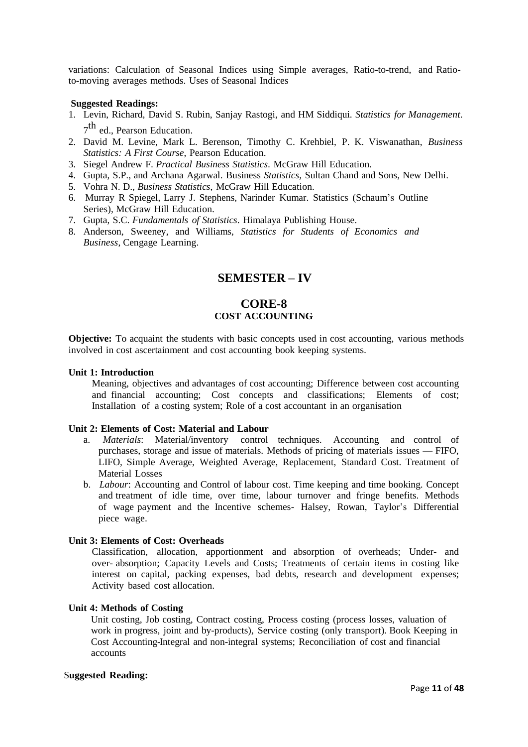variations: Calculation of Seasonal Indices using Simple averages, Ratio-to-trend, and Ratioto-moving averages methods. Uses of Seasonal Indices

## **Suggested Readings:**

- 1. Levin, Richard, David S. Rubin, Sanjay Rastogi, and HM Siddiqui. *Statistics for Management*. 7<sup>th</sup> ed., Pearson Education.
- 2. David M. Levine, Mark L. Berenson, Timothy C. Krehbiel, P. K. Viswanathan, *Business Statistics: A First Course*, Pearson Education.
- 3. Siegel Andrew F. *Practical Business Statistics*. McGraw Hill Education.
- 4. Gupta, S.P., and Archana Agarwal. Business *Statistics,* Sultan Chand and Sons, New Delhi.
- 5. Vohra N. D., *Business Statistics*, McGraw Hill Education.
- 6. Murray R Spiegel, Larry J. Stephens, Narinder Kumar. Statistics (Schaum's Outline Series), McGraw Hill Education.
- 7. Gupta, S.C. *Fundamentals of Statistics*. Himalaya Publishing House.
- 8. Anderson, Sweeney, and Williams, *Statistics for Students of Economics and Business*, Cengage Learning.

# **SEMESTER – IV**

# **CORE-8 COST ACCOUNTING**

**Objective:** To acquaint the students with basic concepts used in cost accounting, various methods involved in cost ascertainment and cost accounting book keeping systems.

#### **Unit 1: Introduction**

Meaning, objectives and advantages of cost accounting; Difference between cost accounting and financial accounting; Cost concepts and classifications; Elements of cost; Installation of a costing system; Role of a cost accountant in an organisation

#### **Unit 2: Elements of Cost: Material and Labour**

- a. *Materials*: Material/inventory control techniques. Accounting and control of purchases, storage and issue of materials. Methods of pricing of materials issues — FIFO, LIFO, Simple Average, Weighted Average, Replacement, Standard Cost. Treatment of Material Losses
- b. *Labour*: Accounting and Control of labour cost. Time keeping and time booking. Concept and treatment of idle time, over time, labour turnover and fringe benefits. Methods of wage payment and the Incentive schemes- Halsey, Rowan, Taylor's Differential piece wage.

# **Unit 3: Elements of Cost: Overheads**

Classification, allocation, apportionment and absorption of overheads; Under- and over- absorption; Capacity Levels and Costs; Treatments of certain items in costing like interest on capital, packing expenses, bad debts, research and development expenses; Activity based cost allocation.

# **Unit 4: Methods of Costing**

Unit costing, Job costing, Contract costing, Process costing (process losses, valuation of work in progress, joint and by-products), Service costing (only transport). Book Keeping in Cost Accounting**-**Integral and non-integral systems; Reconciliation of cost and financial accounts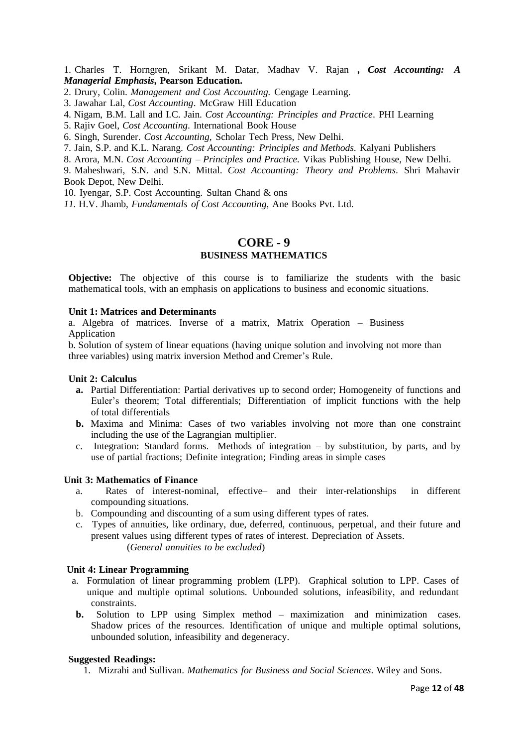1. Charles T. Horngren, Srikant M. Datar, Madhav V. Rajan **,** *Cost Accounting: A Managerial Emphasis***, Pearson Education.**

- 2. Drury, Colin. *Management and Cost Accounting.* Cengage Learning.
- 3. Jawahar Lal, *Cost Accounting*. McGraw Hill Education
- 4. Nigam, B.M. Lall and I.C. Jain. *Cost Accounting: Principles and Practice*. PHI Learning
- 5. Rajiv Goel, *Cost Accounting*. International Book House
- 6. Singh, Surender. *Cost Accounting,* Scholar Tech Press*,* New Delhi.
- 7. Jain, S.P. and K.L. Narang. *Cost Accounting: Principles and Methods*. Kalyani Publishers
- 8. Arora, M.N. *Cost Accounting – Principles and Practice.* Vikas Publishing House, New Delhi.
- 9. Maheshwari, S.N. and S.N. Mittal. *Cost Accounting: Theory and Problems*. Shri Mahavir Book Depot, New Delhi.
- 10. Iyengar, S.P. Cost Accounting. Sultan Chand & ons
- *11.* H.V. Jhamb, *Fundamentals of Cost Accounting,* Ane Books Pvt. Ltd.

# **CORE - 9 BUSINESS MATHEMATICS**

**Objective:** The objective of this course is to familiarize the students with the basic mathematical tools, with an emphasis on applications to business and economic situations.

#### **Unit 1: Matrices and Determinants**

a. Algebra of matrices. Inverse of a matrix, Matrix Operation – Business Application

b. Solution of system of linear equations (having unique solution and involving not more than three variables) using matrix inversion Method and Cremer's Rule.

#### **Unit 2: Calculus**

- **a.** Partial Differentiation: Partial derivatives up to second order; Homogeneity of functions and Euler's theorem; Total differentials; Differentiation of implicit functions with the help of total differentials
- **b.** Maxima and Minima: Cases of two variables involving not more than one constraint including the use of the Lagrangian multiplier.
- c. Integration: Standard forms. Methods of integration by substitution, by parts, and by use of partial fractions; Definite integration; Finding areas in simple cases

# **Unit 3: Mathematics of Finance**

- a. Rates of interest-nominal, effective– and their inter-relationships in different compounding situations.
- b. Compounding and discounting of a sum using different types of rates.
- c. Types of annuities, like ordinary, due, deferred, continuous, perpetual, and their future and present values using different types of rates of interest. Depreciation of Assets. (*General annuities to be excluded*)

#### **Unit 4: Linear Programming**

- a. Formulation of linear programming problem (LPP). Graphical solution to LPP. Cases of unique and multiple optimal solutions. Unbounded solutions, infeasibility, and redundant constraints.
- **b.** Solution to LPP using Simplex method maximization and minimization cases. Shadow prices of the resources. Identification of unique and multiple optimal solutions, unbounded solution, infeasibility and degeneracy.

#### **Suggested Readings:**

1. Mizrahi and Sullivan. *Mathematics for Business and Social Sciences*. Wiley and Sons.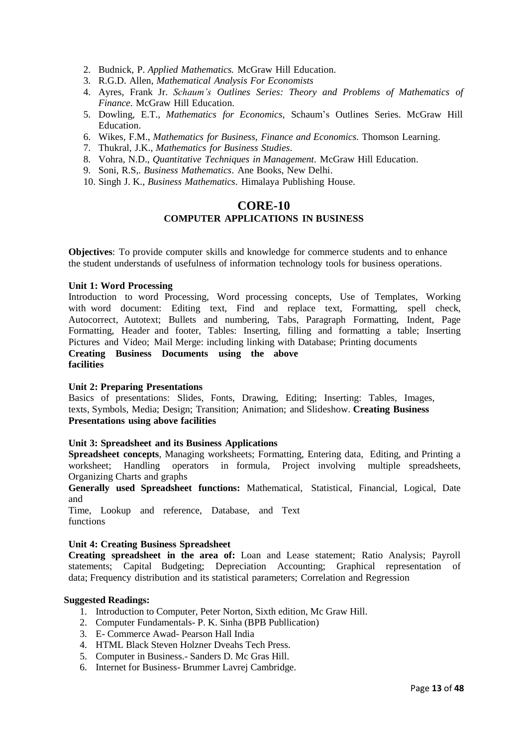- 2. Budnick, P. *Applied Mathematics.* McGraw Hill Education.
- 3. R.G.D. Allen, *Mathematical Analysis For Economists*
- 4. Ayres, Frank Jr. *Schaum's Outlines Series: Theory and Problems of Mathematics of Finance*. McGraw Hill Education.
- 5. Dowling, E.T., *Mathematics for Economics*, Schaum's Outlines Series. McGraw Hill Education.
- 6. Wikes, F.M., *Mathematics for Business, Finance and Economics*. Thomson Learning.
- 7. Thukral, J.K., *Mathematics for Business Studies*.
- 8. Vohra, N.D., *Quantitative Techniques in Management*. McGraw Hill Education.
- 9. Soni, R.S,*. Business Mathematics*. Ane Books, New Delhi.
- 10. Singh J. K., *Business Mathematics*. Himalaya Publishing House.

# **CORE-10 COMPUTER APPLICATIONS IN BUSINESS**

**Objectives**: To provide computer skills and knowledge for commerce students and to enhance the student understands of usefulness of information technology tools for business operations.

#### **Unit 1: Word Processing**

Introduction to word Processing, Word processing concepts, Use of Templates, Working with word document: Editing text, Find and replace text, Formatting, spell check, Autocorrect, Autotext; Bullets and numbering, Tabs, Paragraph Formatting, Indent, Page Formatting, Header and footer, Tables: Inserting, filling and formatting a table; Inserting Pictures and Video; Mail Merge: including linking with Database; Printing documents **Creating Business Documents using the above facilities**

#### **Unit 2: Preparing Presentations**

Basics of presentations: Slides, Fonts, Drawing, Editing; Inserting: Tables, Images, texts, Symbols, Media; Design; Transition; Animation; and Slideshow. **Creating Business Presentations using above facilities**

# **Unit 3: Spreadsheet and its Business Applications**

**Spreadsheet concepts**, Managing worksheets; Formatting, Entering data, Editing, and Printing a worksheet; Handling operators in formula, Project involving multiple spreadsheets, Organizing Charts and graphs

**Generally used Spreadsheet functions:** Mathematical, Statistical, Financial, Logical, Date and

Time, Lookup and reference, Database, and Text functions

# **Unit 4: Creating Business Spreadsheet**

**Creating spreadsheet in the area of:** Loan and Lease statement; Ratio Analysis; Payroll statements; Capital Budgeting; Depreciation Accounting; Graphical representation of data; Frequency distribution and its statistical parameters; Correlation and Regression

- 1. Introduction to Computer, Peter Norton, Sixth edition, Mc Graw Hill.
- 2. Computer Fundamentals- P. K. Sinha (BPB Publlication)
- 3. E- Commerce Awad- Pearson Hall India
- 4. HTML Black Steven Holzner Dveahs Tech Press.
- 5. Computer in Business.- Sanders D. Mc Gras Hill.
- 6. Internet for Business- Brummer Lavrej Cambridge.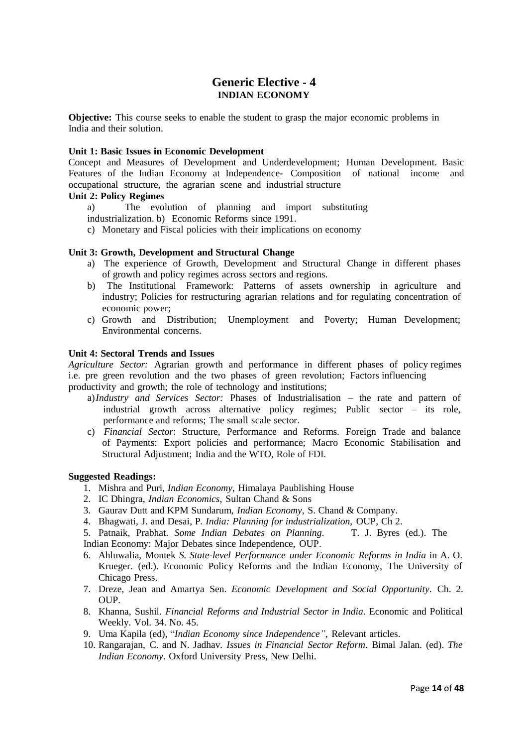# **Generic Elective - 4 INDIAN ECONOMY**

**Objective:** This course seeks to enable the student to grasp the major economic problems in India and their solution.

#### **Unit 1: Basic Issues in Economic Development**

Concept and Measures of Development and Underdevelopment; Human Development. Basic Features of the Indian Economy at Independence**-** Composition of national income and occupational structure, the agrarian scene and industrial structure

## **Unit 2: Policy Regimes**

a) The evolution of planning and import substituting

industrialization. b) Economic Reforms since 1991.

c) Monetary and Fiscal policies with their implications on economy

# **Unit 3: Growth, Development and Structural Change**

- a) The experience of Growth, Development and Structural Change in different phases of growth and policy regimes across sectors and regions.
- b) The Institutional Framework: Patterns of assets ownership in agriculture and industry; Policies for restructuring agrarian relations and for regulating concentration of economic power;
- c) Growth and Distribution; Unemployment and Poverty; Human Development; Environmental concerns.

#### **Unit 4: Sectoral Trends and Issues**

*Agriculture Sector:* Agrarian growth and performance in different phases of policy regimes i.e. pre green revolution and the two phases of green revolution; Factors influencing productivity and growth; the role of technology and institutions;

- a)*Industry and Services Sector:* Phases of Industrialisation the rate and pattern of industrial growth across alternative policy regimes; Public sector – its role, performance and reforms; The small scale sector.
- c) *Financial Sector*: Structure, Performance and Reforms. Foreign Trade and balance of Payments: Export policies and performance; Macro Economic Stabilisation and Structural Adjustment; India and the WTO, Role of FDI.

- 1. Mishra and Puri, *Indian Economy*, Himalaya Paublishing House
- 2. IC Dhingra, *Indian Economics*, Sultan Chand & Sons
- 3. Gaurav Dutt and KPM Sundarum, *Indian Economy*, S. Chand & Company.
- 4. Bhagwati, J. and Desai, P*. India: Planning for industrialization*, OUP, Ch 2.
- 5. Patnaik, Prabhat. *Some Indian Debates on Planning*. T. J. Byres (ed.). The Indian Economy: Major Debates since Independence, OUP.
- 6. Ahluwalia, Montek *S. State-level Performance under Economic Reforms in India* in A. O.
- Krueger. (ed.). Economic Policy Reforms and the Indian Economy, The University of Chicago Press.
- 7. Dreze, Jean and Amartya Sen. *Economic Development and Social Opportunity*. Ch. 2.  $OUP$ .
- 8. Khanna, Sushil. *Financial Reforms and Industrial Sector in India*. Economic and Political Weekly. Vol. 34. No. 45.
- 9. Uma Kapila (ed), "*Indian Economy since Independence",* Relevant articles.
- 10. Rangarajan, C. and N. Jadhav. *Issues in Financial Sector Reform*. Bimal Jalan. (ed). *The Indian Economy*. Oxford University Press, New Delhi.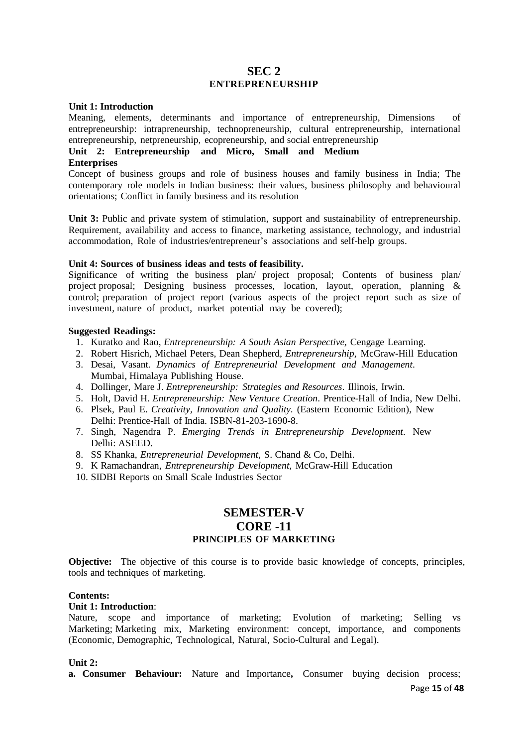# **SEC 2 ENTREPRENEURSHIP**

#### **Unit 1: Introduction**

Meaning, elements, determinants and importance of entrepreneurship, Dimensions of entrepreneurship: intrapreneurship, technopreneurship, cultural entrepreneurship, international entrepreneurship, netpreneurship, ecopreneurship, and social entrepreneurship

# **Unit 2: Entrepreneurship and Micro, Small and Medium**

# **Enterprises**

Concept of business groups and role of business houses and family business in India; The contemporary role models in Indian business: their values, business philosophy and behavioural orientations; Conflict in family business and its resolution

Unit 3: Public and private system of stimulation, support and sustainability of entrepreneurship. Requirement, availability and access to finance, marketing assistance, technology, and industrial accommodation, Role of industries/entrepreneur's associations and self-help groups.

## **Unit 4: Sources of business ideas and tests of feasibility.**

Significance of writing the business plan/ project proposal; Contents of business plan/ project proposal; Designing business processes, location, layout, operation, planning & control; preparation of project report (various aspects of the project report such as size of investment, nature of product, market potential may be covered);

# **Suggested Readings:**

- 1. Kuratko and Rao, *Entrepreneurship: A South Asian Perspective,* Cengage Learning.
- 2. Robert Hisrich, Michael Peters, Dean Shepherd, *Entrepreneurship,* McGraw-Hill Education
- 3. Desai, Vasant*. Dynamics of Entrepreneurial Development and Management*. Mumbai, Himalaya Publishing House.
- 4. Dollinger, Mare J. *Entrepreneurship: Strategies and Resources*. Illinois, Irwin.
- 5. Holt, David H. *Entrepreneurship: New Venture Creation*. Prentice-Hall of India, New Delhi.
- 6. Plsek, Paul E. *Creativity, Innovation and Quality*. (Eastern Economic Edition), New Delhi: Prentice-Hall of India. ISBN-81-203-1690-8.
- 7. Singh, Nagendra P. *Emerging Trends in Entrepreneurship Development*. New Delhi: ASEED.
- 8. SS Khanka, *Entrepreneurial Development,* S. Chand & Co, Delhi.
- 9. K Ramachandran, *Entrepreneurship Development,* McGraw-Hill Education
- 10. SIDBI Reports on Small Scale Industries Sector

# **SEMESTER-V CORE -11 PRINCIPLES OF MARKETING**

**Objective:** The objective of this course is to provide basic knowledge of concepts, principles, tools and techniques of marketing.

# **Contents:**

## **Unit 1: Introduction**:

Nature, scope and importance of marketing; Evolution of marketing; Selling vs Marketing; Marketing mix, Marketing environment: concept, importance, and components (Economic, Demographic, Technological, Natural, Socio-Cultural and Legal).

#### **Unit 2:**

**a. Consumer Behaviour:** Nature and Importance**,** Consumer buying decision process;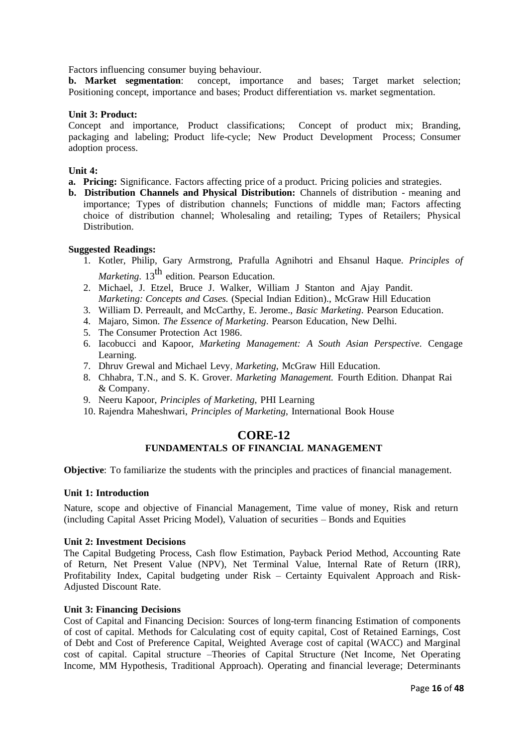Factors influencing consumer buying behaviour.

**b. Market segmentation**: concept, importance and bases; Target market selection; Positioning concept, importance and bases; Product differentiation vs. market segmentation.

## **Unit 3: Product:**

Concept and importance, Product classifications; Concept of product mix; Branding, packaging and labeling; Product life-cycle; New Product Development Process; Consumer adoption process.

# **Unit 4:**

**a. Pricing:** Significance. Factors affecting price of a product. Pricing policies and strategies.

**b. Distribution Channels and Physical Distribution:** Channels of distribution - meaning and importance; Types of distribution channels; Functions of middle man; Factors affecting choice of distribution channel; Wholesaling and retailing; Types of Retailers; Physical Distribution.

## **Suggested Readings:**

- 1. Kotler, Philip, Gary Armstrong, Prafulla Agnihotri and Ehsanul Haque. *Principles of Marketing*. 13<sup>th</sup> edition. Pearson Education.
- 2. Michael, J. Etzel, Bruce J. Walker, William J Stanton and Ajay Pandit. *Marketing: Concepts and Cases.* (Special Indian Edition)., McGraw Hill Education
- 3. William D. Perreault, and McCarthy, E. Jerome., *Basic Marketing*. Pearson Education.
- 4. Majaro, Simon. *The Essence of Marketing*. Pearson Education, New Delhi.
- 5. The Consumer Protection Act 1986.
- 6. Iacobucci and Kapoor, *Marketing Management: A South Asian Perspective*. Cengage Learning.
- 7. Dhruv Grewal and Michael Levy, *Marketing,* McGraw Hill Education.
- 8. Chhabra, T.N., and S. K. Grover. *Marketing Management.* Fourth Edition. Dhanpat Rai & Company.
- 9. Neeru Kapoor, *Principles of Marketing*, PHI Learning
- 10. Rajendra Maheshwari, *Principles of Marketing*, International Book House

# **CORE-12 FUNDAMENTALS OF FINANCIAL MANAGEMENT**

**Objective**: To familiarize the students with the principles and practices of financial management.

#### **Unit 1: Introduction**

Nature, scope and objective of Financial Management, Time value of money, Risk and return (including Capital Asset Pricing Model), Valuation of securities – Bonds and Equities

#### **Unit 2: Investment Decisions**

The Capital Budgeting Process, Cash flow Estimation, Payback Period Method, Accounting Rate of Return, Net Present Value (NPV), Net Terminal Value, Internal Rate of Return (IRR), Profitability Index, Capital budgeting under Risk – Certainty Equivalent Approach and Risk-Adjusted Discount Rate.

#### **Unit 3: Financing Decisions**

Cost of Capital and Financing Decision: Sources of long-term financing Estimation of components of cost of capital. Methods for Calculating cost of equity capital, Cost of Retained Earnings, Cost of Debt and Cost of Preference Capital, Weighted Average cost of capital (WACC) and Marginal cost of capital. Capital structure –Theories of Capital Structure (Net Income, Net Operating Income, MM Hypothesis, Traditional Approach). Operating and financial leverage; Determinants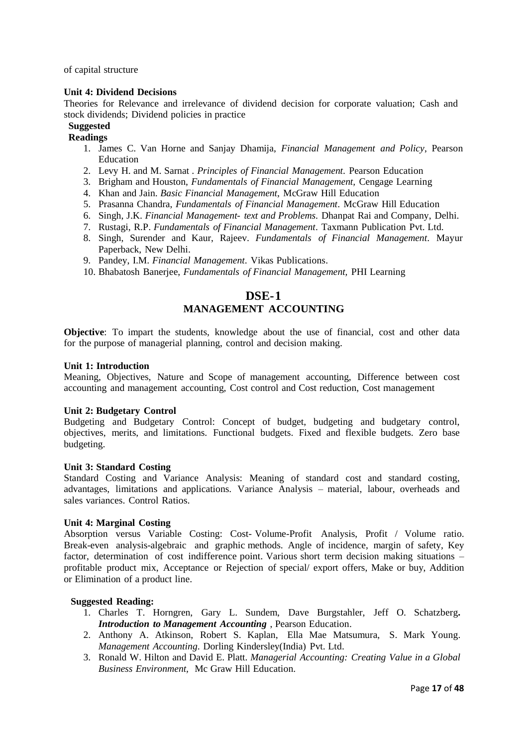of capital structure

## **Unit 4: Dividend Decisions**

Theories for Relevance and irrelevance of dividend decision for corporate valuation; Cash and stock dividends; Dividend policies in practice

# **Suggested**

# **Readings**

- 1. James C. Van Horne and Sanjay Dhamija, *Financial Management and Policy*, Pearson Education
- 2. Levy H. and M. Sarnat *. Principles of Financial Management*. Pearson Education
- 3. Brigham and Houston, *Fundamentals of Financial Management,* Cengage Learning
- 4. Khan and Jain. *Basic Financial Management*, McGraw Hill Education
- 5. Prasanna Chandra, *Fundamentals of Financial Management*. McGraw Hill Education
- 6. Singh, J.K. *Financial Management- text and Problems*. Dhanpat Rai and Company, Delhi.
- 7. Rustagi, R.P. *Fundamentals of Financial Management*. Taxmann Publication Pvt. Ltd.
- 8. Singh, Surender and Kaur, Rajeev. *Fundamentals of Financial Management*. Mayur Paperback, New Delhi.
- 9. Pandey, I.M. *Financial Management*. Vikas Publications.
- 10. Bhabatosh Banerjee, *Fundamentals of Financial Management,* PHI Learning

# **DSE-1 MANAGEMENT ACCOUNTING**

**Objective**: To impart the students, knowledge about the use of financial, cost and other data for the purpose of managerial planning, control and decision making.

#### **Unit 1: Introduction**

Meaning, Objectives, Nature and Scope of management accounting, Difference between cost accounting and management accounting, Cost control and Cost reduction, Cost management

#### **Unit 2: Budgetary Control**

Budgeting and Budgetary Control: Concept of budget, budgeting and budgetary control, objectives, merits, and limitations. Functional budgets. Fixed and flexible budgets. Zero base budgeting.

#### **Unit 3: Standard Costing**

Standard Costing and Variance Analysis: Meaning of standard cost and standard costing, advantages, limitations and applications. Variance Analysis – material, labour, overheads and sales variances. Control Ratios.

#### **Unit 4: Marginal Costing**

Absorption versus Variable Costing: Cost- Volume-Profit Analysis, Profit / Volume ratio. Break-even analysis-algebraic and graphic methods. Angle of incidence, margin of safety, Key factor, determination of cost indifference point. Various short term decision making situations – profitable product mix, Acceptance or Rejection of special/ export offers, Make or buy, Addition or Elimination of a product line.

- 1. Charles T. Horngren, Gary L. Sundem, Dave Burgstahler, Jeff O. Schatzberg**.** *Introduction to Management Accounting* , Pearson Education.
- 2. Anthony A. Atkinson, Robert S. Kaplan, Ella Mae Matsumura, S. Mark Young. *Management Accounting*. Dorling Kindersley(India) Pvt. Ltd.
- 3. Ronald W. Hilton and David E. Platt. *Managerial Accounting: Creating Value in a Global Business Environment,* Mc Graw Hill Education.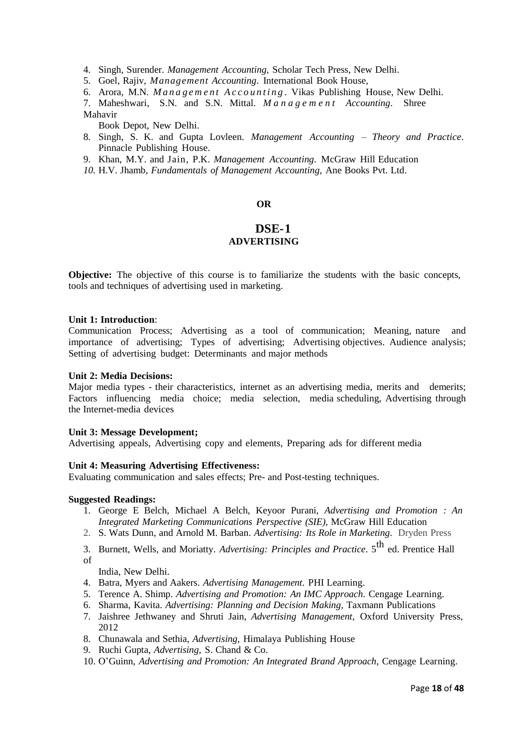4. Singh, Surender. *Management Accounting,* Scholar Tech Press, New Delhi.

5. Goel, Rajiv, *Management Accounting*. International Book House,

6. Arora, M.N. *M a n a g e m e n t A c c o u n t i n g .* Vikas Publishing House, New Delhi.

7. Maheshwari, S.N. and S.N. Mittal. *M a n a g e m e n t Accounting*. Shree Mahavir

Book Depot, New Delhi.

- 8. Singh, S. K. and Gupta Lovleen. *Management Accounting – Theory and Practice*. Pinnacle Publishing House.
- 9. Khan, M.Y. and Jain, P.K. *Management Accounting*. McGraw Hill Education
- *10.* H.V. Jhamb, *Fundamentals of Management Accounting,* Ane Books Pvt. Ltd.

# **OR**

# **DSE-1 ADVERTISING**

**Objective:** The objective of this course is to familiarize the students with the basic concepts, tools and techniques of advertising used in marketing.

#### **Unit 1: Introduction**:

Communication Process; Advertising as a tool of communication; Meaning, nature and importance of advertising; Types of advertising; Advertising objectives. Audience analysis; Setting of advertising budget: Determinants and major methods

#### **Unit 2: Media Decisions:**

Major media types - their characteristics, internet as an advertising media, merits and demerits; Factors influencing media choice; media selection, media scheduling, Advertising through the Internet-media devices

#### **Unit 3: Message Development;**

Advertising appeals, Advertising copy and elements, Preparing ads for different media

#### **Unit 4: Measuring Advertising Effectiveness:**

Evaluating communication and sales effects; Pre- and Post-testing techniques.

#### **Suggested Readings:**

- 1. George E Belch, Michael A Belch, Keyoor Purani, *Advertising and Promotion : An Integrated Marketing Communications Perspective (SIE)*, McGraw Hill Education
- 2. S. Wats Dunn, and Arnold M. Barban. *Advertising: Its Role in Marketing*. Dryden Press

3. Burnett, Wells, and Moriatty. *Advertising: Principles and Practice*. 5 th ed. Prentice Hall of

India, New Delhi.

- 4. Batra, Myers and Aakers. *Advertising Management*. PHI Learning.
- 5. Terence A. Shimp. *Advertising and Promotion: An IMC Approach*. Cengage Learning.
- 6. Sharma, Kavita. *Advertising: Planning and Decision Making,* Taxmann Publications
- 7. Jaishree Jethwaney and Shruti Jain, *Advertising Management*, Oxford University Press, 2012
- 8. Chunawala and Sethia, *Advertising,* Himalaya Publishing House
- 9. Ruchi Gupta, *Advertising,* S. Chand & Co.
- 10. O'Guinn, *Advertising and Promotion: An Integrated Brand Approach,* Cengage Learning.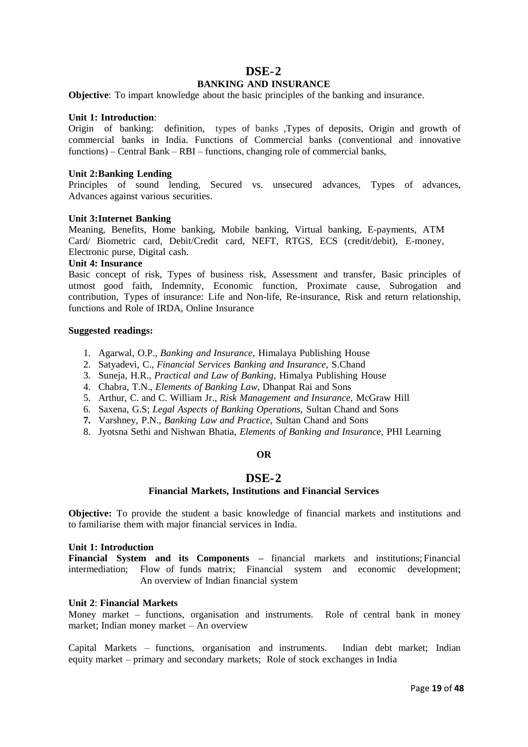# **DSE-2**

# **BANKING AND INSURANCE**

**Objective**: To impart knowledge about the basic principles of the banking and insurance.

## **Unit 1: Introduction**:

Origin of banking: definition, types of banks ,Types of deposits, Origin and growth of commercial banks in India. Functions of Commercial banks (conventional and innovative functions) – Central Bank – RBI – functions, changing role of commercial banks,

## **Unit 2:Banking Lending**

Principles of sound lending, Secured vs. unsecured advances, Types of advances, Advances against various securities.

#### **Unit 3:Internet Banking**

Meaning, Benefits, Home banking, Mobile banking, Virtual banking, E-payments, ATM Card/ Biometric card, Debit/Credit card, NEFT, RTGS, ECS (credit/debit), E-money, Electronic purse, Digital cash.

#### **Unit 4: Insurance**

Basic concept of risk, Types of business risk, Assessment and transfer, Basic principles of utmost good faith, Indemnity, Economic function, Proximate cause, Subrogation and contribution, Types of insurance: Life and Non-life, Re-insurance, Risk and return relationship, functions and Role of IRDA, Online Insurance

#### **Suggested readings:**

- 1. Agarwal, O.P., *Banking and Insurance*, Himalaya Publishing House
- 2. Satyadevi, C., *Financial Services Banking and Insurance*, S.Chand
- 3. Suneja, H.R., *Practical and Law of Banking*, Himalya Publishing House
- 4. Chabra, T.N., *Elements of Banking Law*, Dhanpat Rai and Sons
- 5. Arthur, C. and C. William Jr., *Risk Management and Insurance*, McGraw Hill
- 6. Saxena, G.S; *Legal Aspects of Banking Operations*, Sultan Chand and Sons
- **7.** Varshney, P.N., *Banking Law and Practice*, Sultan Chand and Sons
- 8.Jyotsna Sethi and Nishwan Bhatia, *Elements of Banking and Insurance,* PHI Learning

# **OR**

# **DSE-2**

## **Financial Markets, Institutions and Financial Services**

**Objective:** To provide the student a basic knowledge of financial markets and institutions and to familiarise them with major financial services in India.

## **Unit 1: Introduction**

**Financial System and its Components –** financial markets and institutions; Financial intermediation; Flow of funds matrix; Financial system and economic development; An overview of Indian financial system

#### **Unit 2**: **Financial Markets**

Money market – functions, organisation and instruments. Role of central bank in money market; Indian money market – An overview

Capital Markets – functions, organisation and instruments. Indian debt market; Indian equity market – primary and secondary markets; Role of stock exchanges in India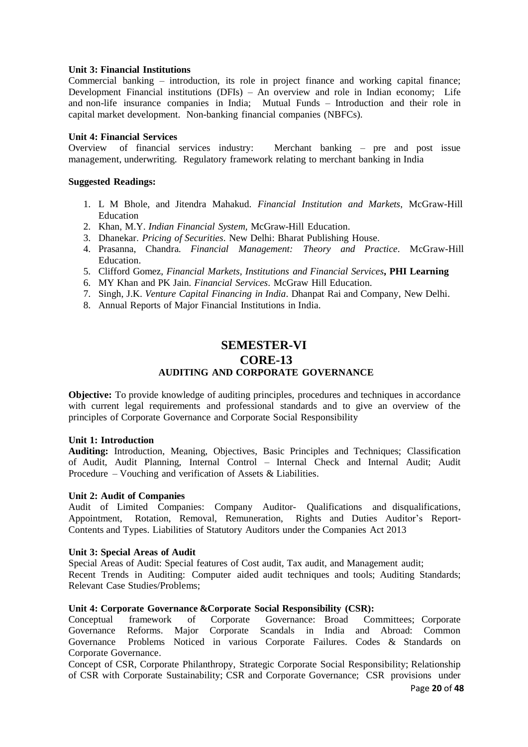## **Unit 3: Financial Institutions**

Commercial banking – introduction, its role in project finance and working capital finance; Development Financial institutions (DFIs) – An overview and role in Indian economy; Life and non-life insurance companies in India; Mutual Funds – Introduction and their role in capital market development. Non-banking financial companies (NBFCs).

# **Unit 4: Financial Services**

Overview of financial services industry: Merchant banking – pre and post issue management, underwriting. Regulatory framework relating to merchant banking in India

## **Suggested Readings:**

- 1. L M Bhole, and Jitendra Mahakud. *Financial Institution and Markets*, McGraw-Hill Education
- 2. Khan, M.Y. *Indian Financial System,* McGraw-Hill Education.
- 3. Dhanekar. *Pricing of Securities*. New Delhi: Bharat Publishing House.
- 4. Prasanna, Chandra. *Financial Management: Theory and Practice*. McGraw-Hill **Education**
- 5. Clifford Gomez, *Financial Markets, Institutions and Financial Services***, PHI Learning**
- 6. MY Khan and PK Jain*. Financial Services*. McGraw Hill Education.
- 7. Singh, J.K. *Venture Capital Financing in India*. Dhanpat Rai and Company, New Delhi.
- 8. Annual Reports of Major Financial Institutions in India.

# **SEMESTER-VI CORE-13 AUDITING AND CORPORATE GOVERNANCE**

**Objective:** To provide knowledge of auditing principles, procedures and techniques in accordance with current legal requirements and professional standards and to give an overview of the principles of Corporate Governance and Corporate Social Responsibility

#### **Unit 1: Introduction**

**Auditing:** Introduction, Meaning, Objectives, Basic Principles and Techniques; Classification of Audit, Audit Planning, Internal Control – Internal Check and Internal Audit; Audit Procedure – Vouching and verification of Assets & Liabilities.

#### **Unit 2: Audit of Companies**

Audit of Limited Companies: Company Auditor- Qualifications and disqualifications, Appointment, Rotation, Removal, Remuneration, Rights and Duties Auditor's Report-Contents and Types. Liabilities of Statutory Auditors under the Companies Act 2013

#### **Unit 3: Special Areas of Audit**

Special Areas of Audit: Special features of Cost audit, Tax audit, and Management audit;

Recent Trends in Auditing: Computer aided audit techniques and tools; Auditing Standards; Relevant Case Studies/Problems;

#### **Unit 4: Corporate Governance & Corporate Social Responsibility (CSR):**

Conceptual framework of Corporate Governance: Broad Committees; Corporate Governance Reforms. Major Corporate Scandals in India and Abroad: Common Governance Problems Noticed in various Corporate Failures. Codes & Standards on Corporate Governance.

Concept of CSR, Corporate Philanthropy, Strategic Corporate Social Responsibility; Relationship of CSR with Corporate Sustainability; CSR and Corporate Governance; CSR provisions under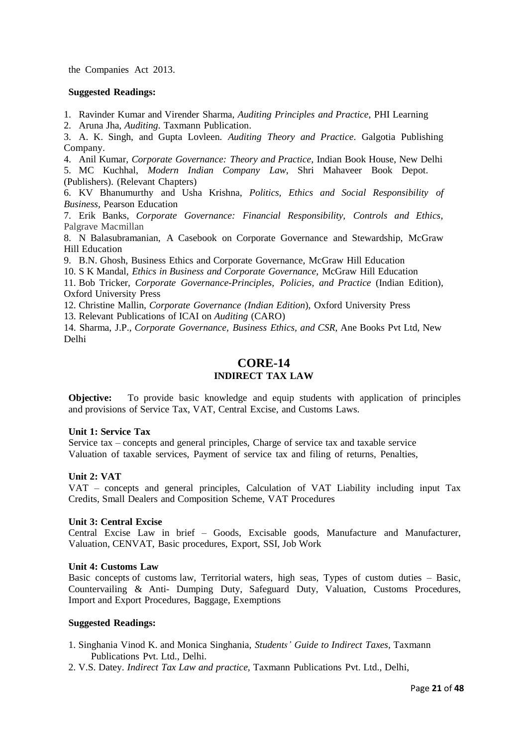the Companies Act 2013.

## **Suggested Readings:**

1. Ravinder Kumar and Virender Sharma, *Auditing Principles and Practice*, PHI Learning

2. Aruna Jha, *Auditing*. Taxmann Publication.

3. A. K. Singh, and Gupta Lovleen*. Auditing Theory and Practice*. Galgotia Publishing Company.

4. Anil Kumar, *Corporate Governance: Theory and Practice*, Indian Book House, New Delhi 5. MC Kuchhal, *Modern Indian Company Law*, Shri Mahaveer Book Depot.

(Publishers). (Relevant Chapters)

6. KV Bhanumurthy and Usha Krishna, *Politics, Ethics and Social Responsibility of Business,* Pearson Education

7. Erik Banks, *Corporate Governance: Financial Responsibility, Controls and Ethics*, Palgrave Macmillan

8. N Balasubramanian, A Casebook on Corporate Governance and Stewardship, McGraw Hill Education

9. B.N. Ghosh, Business Ethics and Corporate Governance, McGraw Hill Education

10. S K Mandal*, Ethics in Business and Corporate Governance*, McGraw Hill Education

11. Bob Tricker, *Corporate Governance-Principles, Policies, and Practice* (Indian Edition), Oxford University Press

12. Christine Mallin, *Corporate Governance (Indian Edition*), Oxford University Press

13. Relevant Publications of ICAI on *Auditing* (CARO)

14. Sharma, J.P., *Corporate Governance, Business Ethics, and CSR*, Ane Books Pvt Ltd, New Delhi

# **CORE-14 INDIRECT TAX LAW**

**Objective:** To provide basic knowledge and equip students with application of principles and provisions of Service Tax, VAT, Central Excise, and Customs Laws.

#### **Unit 1: Service Tax**

Service tax – concepts and general principles, Charge of service tax and taxable service Valuation of taxable services, Payment of service tax and filing of returns, Penalties,

# **Unit 2: VAT**

VAT – concepts and general principles, Calculation of VAT Liability including input Tax Credits, Small Dealers and Composition Scheme, VAT Procedures

# **Unit 3: Central Excise**

Central Excise Law in brief – Goods, Excisable goods, Manufacture and Manufacturer, Valuation, CENVAT, Basic procedures, Export, SSI, Job Work

# **Unit 4: Customs Law**

Basic concepts of customs law, Territorial waters, high seas, Types of custom duties – Basic, Countervailing & Anti- Dumping Duty, Safeguard Duty, Valuation, Customs Procedures, Import and Export Procedures, Baggage, Exemptions

- 1. Singhania Vinod K. and Monica Singhania, *Students' Guide to Indirect Taxes,* Taxmann Publications Pvt. Ltd., Delhi.
- 2. V.S. Datey. *Indirect Tax Law and practice,* Taxmann Publications Pvt. Ltd., Delhi,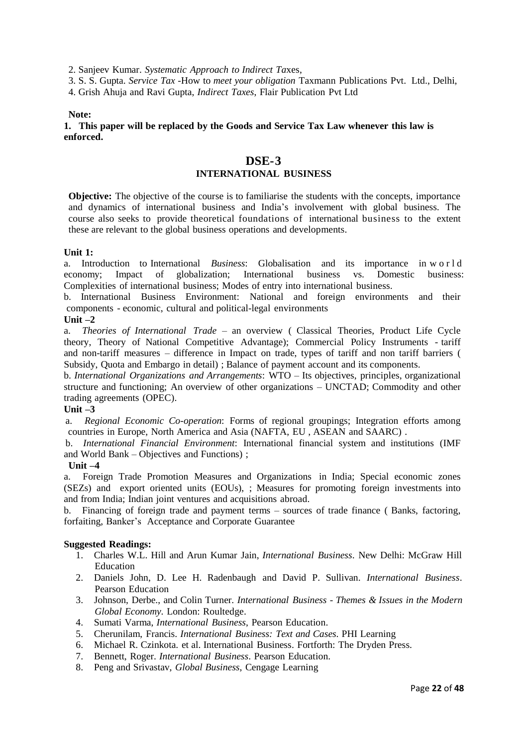2. Sanjeev Kumar. *Systematic Approach to Indirect Ta*xes,

3. S. S. Gupta. *Service Tax -*How to *meet your obligation* Taxmann Publications Pvt. Ltd., Delhi,

4. Grish Ahuja and Ravi Gupta, *Indirect Taxes*, Flair Publication Pvt Ltd

#### **Note:**

**1. This paper will be replaced by the Goods and Service Tax Law whenever this law is enforced.**

# **DSE-3**

# **INTERNATIONAL BUSINESS**

**Objective:** The objective of the course is to familiarise the students with the concepts, importance and dynamics of international business and India's involvement with global business. The course also seeks to provide theoretical foundations of international business to the extent these are relevant to the global business operations and developments.

## **Unit 1:**

a. Introduction to International *Business*: Globalisation and its importance in w o r l d economy; Impact of globalization; International business vs. Domestic business: Complexities of international business; Modes of entry into international business.

b. International Business Environment: National and foreign environments and their components - economic, cultural and political-legal environments

## **Unit –2**

a. *Theories of International Trade* – an overview ( Classical Theories, Product Life Cycle theory, Theory of National Competitive Advantage); Commercial Policy Instruments - tariff and non-tariff measures – difference in Impact on trade, types of tariff and non tariff barriers ( Subsidy, Quota and Embargo in detail) ; Balance of payment account and its components.

b. *International Organizations and Arrangements*: WTO – Its objectives, principles, organizational structure and functioning; An overview of other organizations – UNCTAD; Commodity and other trading agreements (OPEC).

# **Unit –3**

a. *Regional Economic Co-operation*: Forms of regional groupings; Integration efforts among countries in Europe, North America and Asia (NAFTA, EU , ASEAN and SAARC) .

b. *International Financial Environment*: International financial system and institutions (IMF and World Bank – Objectives and Functions) ;

# **Unit –4**

a. Foreign Trade Promotion Measures and Organizations in India; Special economic zones (SEZs) and export oriented units (EOUs), ; Measures for promoting foreign investments into and from India; Indian joint ventures and acquisitions abroad.

b. Financing of foreign trade and payment terms – sources of trade finance ( Banks, factoring, forfaiting, Banker's Acceptance and Corporate Guarantee

- 1. Charles W.L. Hill and Arun Kumar Jain, *International Business*. New Delhi: McGraw Hill Education
- 2. Daniels John, D. Lee H. Radenbaugh and David P. Sullivan. *International Business*. Pearson Education
- 3. Johnson, Derbe., and Colin Turner. *International Business - Themes & Issues in the Modern Global Economy*. London: Roultedge.
- 4. Sumati Varma, *International Business*, Pearson Education.
- 5. Cherunilam, Francis. *International Business: Text and Cases*. PHI Learning
- 6. Michael R. Czinkota. et al. International Business. Fortforth: The Dryden Press.
- 7. Bennett, Roger. *International Business*. Pearson Education.
- 8. Peng and Srivastav, *Global Business*, Cengage Learning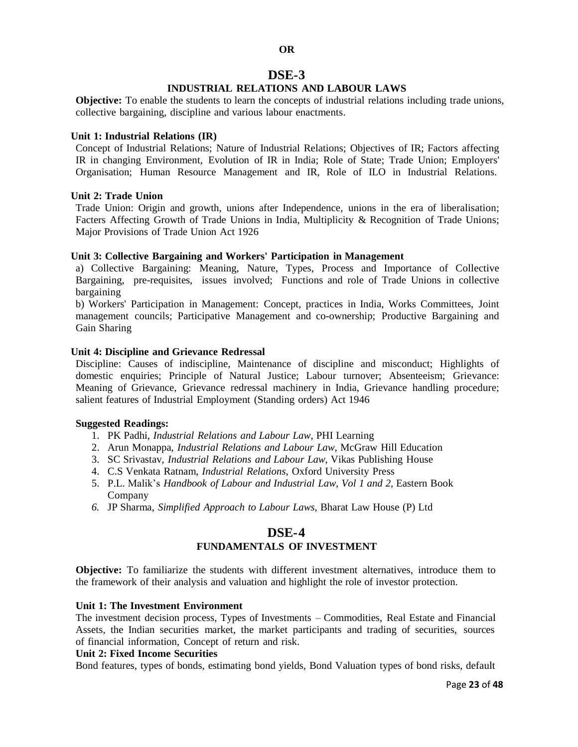# **OR DSE-3**

# **INDUSTRIAL RELATIONS AND LABOUR LAWS**

**Objective:** To enable the students to learn the concepts of industrial relations including trade unions, collective bargaining, discipline and various labour enactments.

#### **Unit 1: Industrial Relations (IR)**

Concept of Industrial Relations; Nature of Industrial Relations; Objectives of IR; Factors affecting IR in changing Environment, Evolution of IR in India; Role of State; Trade Union; Employers' Organisation; Human Resource Management and IR, Role of ILO in Industrial Relations.

#### **Unit 2: Trade Union**

Trade Union: Origin and growth, unions after Independence, unions in the era of liberalisation; Facters Affecting Growth of Trade Unions in India, Multiplicity & Recognition of Trade Unions; Major Provisions of Trade Union Act 1926

#### **Unit 3: Collective Bargaining and Workers' Participation in Management**

a) Collective Bargaining: Meaning, Nature, Types, Process and Importance of Collective Bargaining, pre-requisites, issues involved; Functions and role of Trade Unions in collective bargaining

b) Workers' Participation in Management: Concept, practices in India, Works Committees, Joint management councils; Participative Management and co-ownership; Productive Bargaining and Gain Sharing

#### **Unit 4: Discipline and Grievance Redressal**

Discipline: Causes of indiscipline, Maintenance of discipline and misconduct; Highlights of domestic enquiries; Principle of Natural Justice; Labour turnover; Absenteeism; Grievance: Meaning of Grievance, Grievance redressal machinery in India, Grievance handling procedure; salient features of Industrial Employment (Standing orders) Act 1946

#### **Suggested Readings:**

- 1. PK Padhi, *Industrial Relations and Labour Law*, PHI Learning
- 2. Arun Monappa, *Industrial Relations and Labour Law*, McGraw Hill Education
- 3. SC Srivastav, *Industrial Relations and Labour Law*, Vikas Publishing House
- 4. C.S Venkata Ratnam, *Industrial Relations*, Oxford University Press
- 5. P.L. Malik's *Handbook of Labour and Industrial Law, Vol 1 and 2,* Eastern Book Company
- *6.* JP Sharma*, Simplified Approach to Labour Laws,* Bharat Law House (P) Ltd

# **DSE-4**

# **FUNDAMENTALS OF INVESTMENT**

**Objective:** To familiarize the students with different investment alternatives, introduce them to the framework of their analysis and valuation and highlight the role of investor protection.

### **Unit 1: The Investment Environment**

The investment decision process, Types of Investments – Commodities, Real Estate and Financial Assets, the Indian securities market, the market participants and trading of securities, sources of financial information, Concept of return and risk.

## **Unit 2: Fixed Income Securities**

Bond features, types of bonds, estimating bond yields, Bond Valuation types of bond risks, default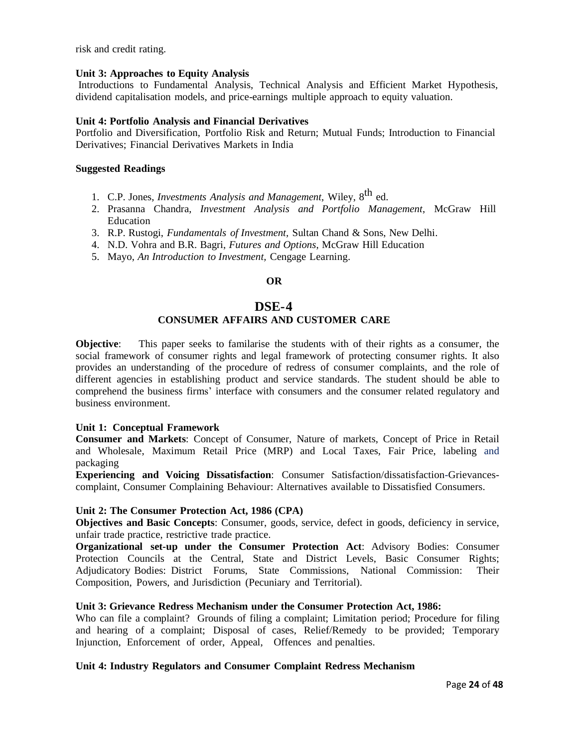risk and credit rating.

### **Unit 3: Approaches to Equity Analysis**

Introductions to Fundamental Analysis, Technical Analysis and Efficient Market Hypothesis, dividend capitalisation models, and price-earnings multiple approach to equity valuation.

## **Unit 4: Portfolio Analysis and Financial Derivatives**

Portfolio and Diversification, Portfolio Risk and Return; Mutual Funds; Introduction to Financial Derivatives; Financial Derivatives Markets in India

## **Suggested Readings**

- 1. C.P. Jones, *Investments Analysis and Management*, Wiley, 8 th ed.
- 2. Prasanna Chandra, *Investment Analysis and Portfolio Management*, McGraw Hill Education
- 3. R.P. Rustogi, *Fundamentals of Investment,* Sultan Chand & Sons, New Delhi.
- 4. N.D. Vohra and B.R. Bagri, *Futures and Options*, McGraw Hill Education
- 5. Mayo, *An Introduction to Investment,* Cengage Learning.

# **OR**

# **DSE-4**

# **CONSUMER AFFAIRS AND CUSTOMER CARE**

**Objective**: This paper seeks to familarise the students with of their rights as a consumer, the social framework of consumer rights and legal framework of protecting consumer rights. It also provides an understanding of the procedure of redress of consumer complaints, and the role of different agencies in establishing product and service standards. The student should be able to comprehend the business firms' interface with consumers and the consumer related regulatory and business environment.

#### **Unit 1: Conceptual Framework**

**Consumer and Markets**: Concept of Consumer, Nature of markets, Concept of Price in Retail and Wholesale, Maximum Retail Price (MRP) and Local Taxes, Fair Price, labeling and packaging

**Experiencing and Voicing Dissatisfaction**: Consumer Satisfaction/dissatisfaction-Grievancescomplaint, Consumer Complaining Behaviour: Alternatives available to Dissatisfied Consumers.

#### **Unit 2: The Consumer Protection Act, 1986 (CPA)**

**Objectives and Basic Concepts**: Consumer, goods, service, defect in goods, deficiency in service, unfair trade practice, restrictive trade practice.

**Organizational set-up under the Consumer Protection Act**: Advisory Bodies: Consumer Protection Councils at the Central, State and District Levels, Basic Consumer Rights; Adjudicatory Bodies: District Forums, State Commissions, National Commission: Their Composition, Powers, and Jurisdiction (Pecuniary and Territorial).

# **Unit 3: Grievance Redress Mechanism under the Consumer Protection Act, 1986:**

Who can file a complaint? Grounds of filing a complaint; Limitation period; Procedure for filing and hearing of a complaint; Disposal of cases, Relief/Remedy to be provided; Temporary Injunction, Enforcement of order, Appeal, Offences and penalties.

# **Unit 4: Industry Regulators and Consumer Complaint Redress Mechanism**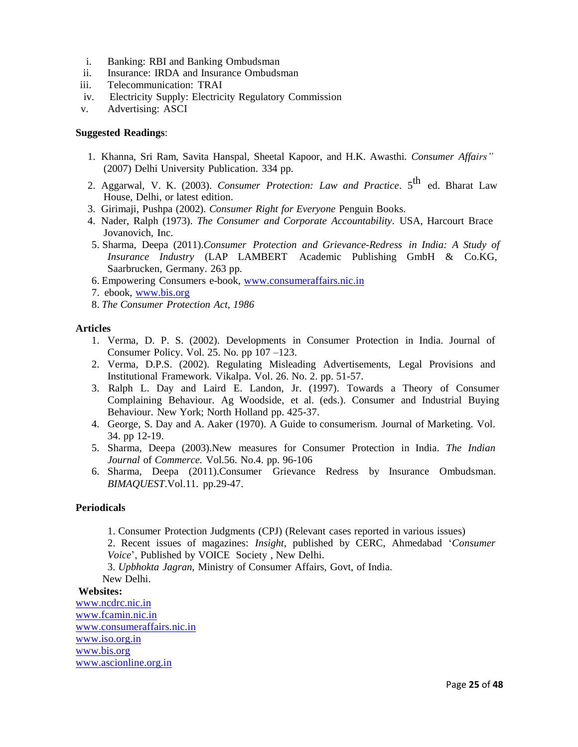- i. Banking: RBI and Banking Ombudsman
- ii. Insurance: IRDA and Insurance Ombudsman
- iii. Telecommunication: TRAI
- iv. Electricity Supply: Electricity Regulatory Commission
- v. Advertising: ASCI

## **Suggested Readings**:

- 1. Khanna, Sri Ram, Savita Hanspal, Sheetal Kapoor, and H.K. Awasthi. *Consumer Affairs"* (2007) Delhi University Publication. 334 pp.
- 2. Aggarwal, V. K. (2003). *Consumer Protection: Law and Practice*. 5<sup>th</sup> ed. Bharat Law House, Delhi, or latest edition.
- 3. Girimaji, Pushpa (2002). *Consumer Right for Everyone* Penguin Books.
- 4. Nader, Ralph (1973). *The Consumer and Corporate Accountability*. USA, Harcourt Brace Jovanovich, Inc.
- 5. Sharma, Deepa (2011).*Consumer Protection and Grievance-Redress in India: A Study of Insurance Industry* (LAP LAMBERT Academic Publishing GmbH & Co.KG, Saarbrucken, Germany. 263 pp.
- 6. Empowering Consumers e-book, [www.consumeraffairs.nic.in](http://www.consumeraffairs.nic.in/)
- 7. ebook, [www.bis.org](http://www.bis.org/)
- 8. *The Consumer Protection Act, 1986*

#### **Articles**

- 1. Verma, D. P. S. (2002). Developments in Consumer Protection in India. Journal of Consumer Policy. Vol. 25. No. pp 107 –123.
- 2. Verma, D.P.S. (2002). Regulating Misleading Advertisements, Legal Provisions and Institutional Framework. Vikalpa. Vol. 26. No. 2. pp. 51-57.
- 3. Ralph L. Day and Laird E. Landon, Jr. (1997). Towards a Theory of Consumer Complaining Behaviour. Ag Woodside, et al. (eds.). Consumer and Industrial Buying Behaviour. New York; North Holland pp. 425-37.
- 4. George, S. Day and A. Aaker (1970). A Guide to consumerism. Journal of Marketing. Vol. 34. pp 12-19.
- 5. Sharma, Deepa (2003).New measures for Consumer Protection in India. *The Indian Journal* of *Commerce.* Vol.56. No.4. pp. 96-106
- 6. Sharma, Deepa (2011).Consumer Grievance Redress by Insurance Ombudsman. *BIMAQUEST*.Vol.11. pp.29-47.

#### **Periodicals**

1. Consumer Protection Judgments (CPJ) (Relevant cases reported in various issues)

2. Recent issues of magazines: *Insight*, published by CERC, Ahmedabad '*Consumer Voice*', Published by VOICE Society , New Delhi.

3. *Upbhokta Jagran*, Ministry of Consumer Affairs, Govt, of India. New Delhi.

#### **Websites:**

[www.ncdrc.nic.in](http://www.ncdrc.nic.in/) [www.fcamin.nic.in](http://www.fcamin.nic.in/) [www.consumeraffairs.nic.in](http://www.consumeraffairs.nic.in/) [www.iso.org.in](http://www.iso.org.in/) [www.bis.org](http://www.bis.org/) [www.ascionline.org.in](http://www.ascionline.org.in/)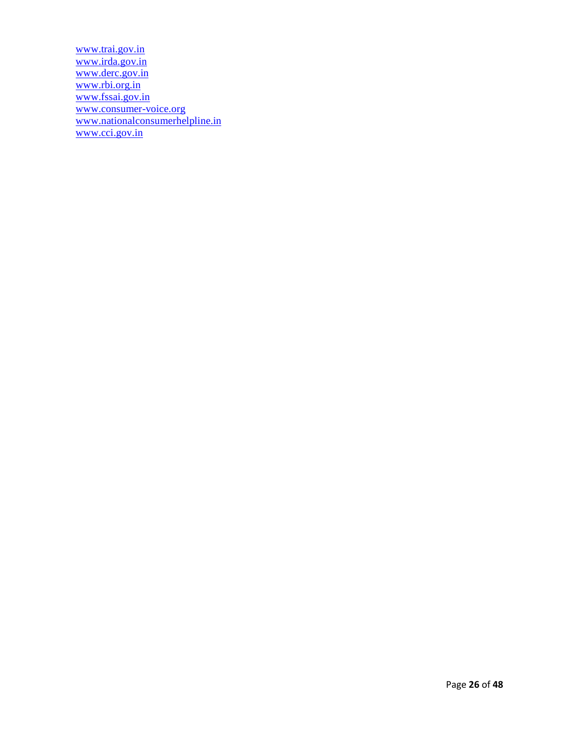[www.trai.gov.in](http://www.trai.gov.in/) [www.irda.gov.in](http://www.irda.gov.in/) [www.derc.gov.in](http://www.derc.gov.in/) [www.rbi.org.in](http://www.rbi.org.in/) [www.fssai.gov.in](http://www.fssai.gov.in/) [www.consumer-voice.org](http://www.consumer-voice.org/) [www.nationalconsumerhelpline.in](http://www.nationalconsumerhelpline.in/) [www.cci.gov.in](http://www.cci.gov.in/)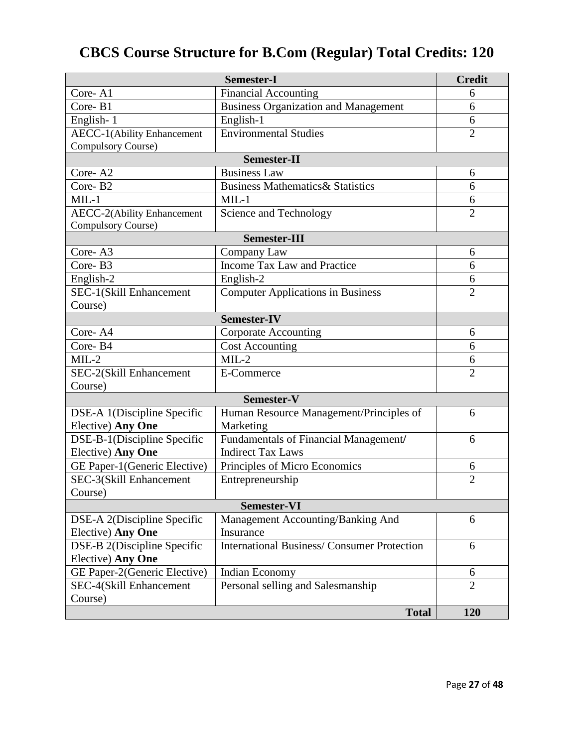# **CBCS Course Structure for B.Com (Regular) Total Credits: 120**

|                                   | <b>Semester-I</b>                                 | <b>Credit</b>  |  |
|-----------------------------------|---------------------------------------------------|----------------|--|
| Core-A1                           | Financial Accounting                              | 6              |  |
| Core-B1                           | <b>Business Organization and Management</b>       | 6              |  |
| English-1                         | English-1                                         | 6              |  |
| <b>AECC-1(Ability Enhancement</b> | <b>Environmental Studies</b>                      | $\overline{2}$ |  |
| Compulsory Course)                |                                                   |                |  |
| <b>Semester-II</b>                |                                                   |                |  |
| Core-A2                           | <b>Business Law</b>                               | 6              |  |
| Core-B2                           | <b>Business Mathematics &amp; Statistics</b>      | 6              |  |
| $MIL-1$                           | $MIL-1$                                           | 6              |  |
| AECC-2(Ability Enhancement        | Science and Technology                            | $\overline{2}$ |  |
| Compulsory Course)                |                                                   |                |  |
| <b>Semester-III</b>               |                                                   |                |  |
| Core-A3                           | Company Law                                       | 6              |  |
| Core-B3                           | <b>Income Tax Law and Practice</b>                | 6              |  |
| English-2                         | English-2                                         | 6              |  |
| SEC-1(Skill Enhancement           | <b>Computer Applications in Business</b>          | $\overline{2}$ |  |
| Course)                           |                                                   |                |  |
|                                   | <b>Semester-IV</b>                                |                |  |
| Core-A4                           | <b>Corporate Accounting</b>                       | 6              |  |
| Core-B4                           | <b>Cost Accounting</b>                            | 6              |  |
| $MIL-2$                           | $MIL-2$                                           | 6              |  |
| SEC-2(Skill Enhancement           | E-Commerce                                        | $\overline{2}$ |  |
| Course)                           |                                                   |                |  |
| Semester-V                        |                                                   |                |  |
| DSE-A 1(Discipline Specific       | Human Resource Management/Principles of           | 6              |  |
| Elective) Any One                 | Marketing                                         |                |  |
| DSE-B-1(Discipline Specific       | Fundamentals of Financial Management/             | 6              |  |
| Elective) Any One                 | <b>Indirect Tax Laws</b>                          |                |  |
| GE Paper-1(Generic Elective)      | Principles of Micro Economics                     | 6              |  |
| SEC-3(Skill Enhancement           | Entrepreneurship                                  | $\overline{2}$ |  |
| Course)                           |                                                   |                |  |
| <b>Semester-VI</b>                |                                                   |                |  |
| DSE-A 2(Discipline Specific       | Management Accounting/Banking And                 | 6              |  |
| Elective) Any One                 | Insurance                                         |                |  |
| DSE-B 2(Discipline Specific       | <b>International Business/Consumer Protection</b> | 6              |  |
| Elective) Any One                 |                                                   |                |  |
| GE Paper-2(Generic Elective)      | Indian Economy                                    | 6              |  |
| SEC-4(Skill Enhancement           | Personal selling and Salesmanship                 | $\overline{2}$ |  |
| Course)                           |                                                   |                |  |
|                                   | <b>Total</b>                                      | 120            |  |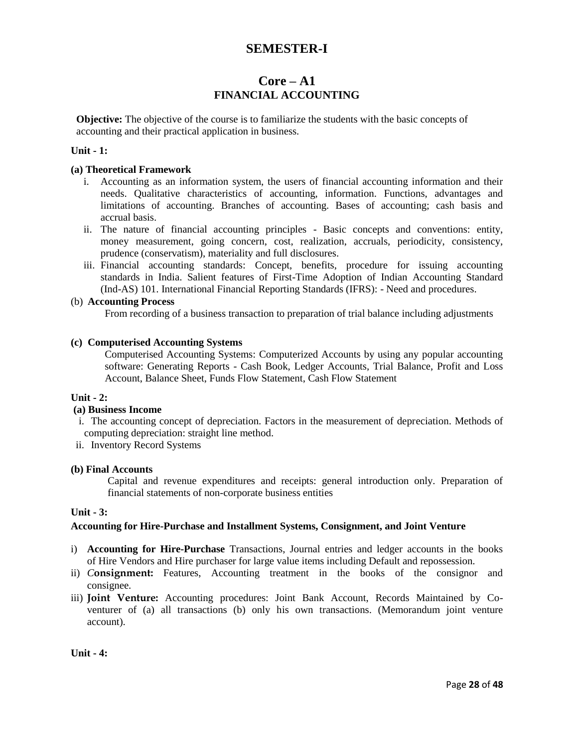# **SEMESTER-I**

# **Core – A1 FINANCIAL ACCOUNTING**

**Objective:** The objective of the course is to familiarize the students with the basic concepts of accounting and their practical application in business.

## **Unit - 1:**

#### **(a) Theoretical Framework**

- i. Accounting as an information system, the users of financial accounting information and their needs. Qualitative characteristics of accounting, information. Functions, advantages and limitations of accounting. Branches of accounting. Bases of accounting; cash basis and accrual basis.
- ii. The nature of financial accounting principles Basic concepts and conventions: entity, money measurement, going concern, cost, realization, accruals, periodicity, consistency, prudence (conservatism), materiality and full disclosures.
- iii. Financial accounting standards: Concept, benefits, procedure for issuing accounting standards in India. Salient features of First-Time Adoption of Indian Accounting Standard (Ind-AS) 101. International Financial Reporting Standards (IFRS): - Need and procedures.

## (b) **Accounting Process**

From recording of a business transaction to preparation of trial balance including adjustments

#### **(c) Computerised Accounting Systems**

Computerised Accounting Systems: Computerized Accounts by using any popular accounting software: Generating Reports - Cash Book, Ledger Accounts, Trial Balance, Profit and Loss Account, Balance Sheet, Funds Flow Statement, Cash Flow Statement

#### **Unit - 2:**

# **(a) Business Income**

- i. The accounting concept of depreciation. Factors in the measurement of depreciation. Methods of computing depreciation: straight line method.
- ii. Inventory Record Systems

# **(b) Final Accounts**

Capital and revenue expenditures and receipts: general introduction only. Preparation of financial statements of non-corporate business entities

#### **Unit - 3:**

#### **Accounting for Hire-Purchase and Installment Systems, Consignment, and Joint Venture**

- i) **Accounting for Hire-Purchase** Transactions, Journal entries and ledger accounts in the books of Hire Vendors and Hire purchaser for large value items including Default and repossession.
- ii) *C***onsignment:** Features, Accounting treatment in the books of the consignor and consignee.
- iii) **Joint Venture:** Accounting procedures: Joint Bank Account, Records Maintained by Coventurer of (a) all transactions (b) only his own transactions. (Memorandum joint venture account).

**Unit - 4:**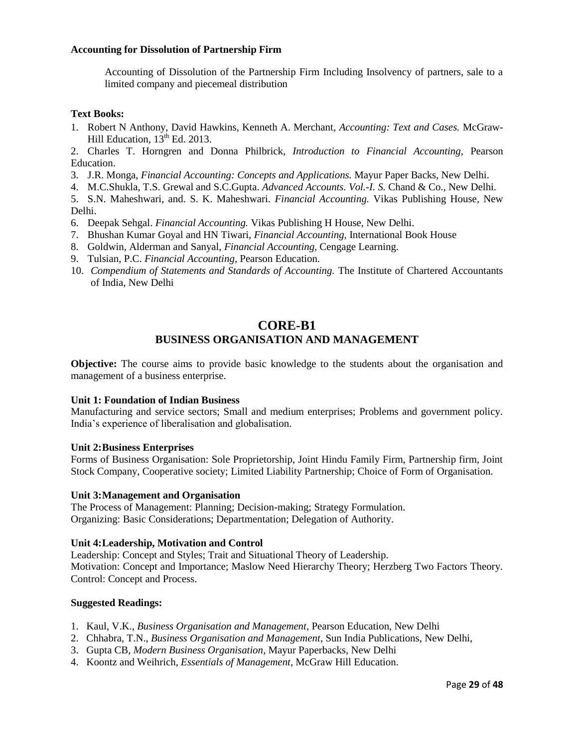## **Accounting for Dissolution of Partnership Firm**

Accounting of Dissolution of the Partnership Firm Including Insolvency of partners, sale to a limited company and piecemeal distribution

## **Text Books:**

1. Robert N Anthony, David Hawkins, Kenneth A. Merchant, *Accounting: Text and Cases.* McGraw-Hill Education,  $13<sup>th</sup>$  Ed. 2013.

2. Charles T. Horngren and Donna Philbrick, *Introduction to Financial Accounting,* Pearson Education.

- 3. J.R. Monga, *Financial Accounting: Concepts and Applications.* Mayur Paper Backs, New Delhi.
- 4. M.C.Shukla, T.S. Grewal and S.C.Gupta. *Advanced Accounts. Vol.-I. S.* Chand & Co., New Delhi.
- 5. S.N. Maheshwari, and. S. K. Maheshwari. *Financial Accounting.* Vikas Publishing House, New Delhi.
- 6. Deepak Sehgal. *Financial Accounting.* Vikas Publishing H House, New Delhi.
- 7. Bhushan Kumar Goyal and HN Tiwari, *Financial Accounting,* International Book House
- 8. Goldwin, Alderman and Sanyal, *Financial Accounting,* Cengage Learning.
- 9. Tulsian, P.C. *Financial Accounting,* Pearson Education.
- 10. *Compendium of Statements and Standards of Accounting.* The Institute of Chartered Accountants of India, New Delhi

# **CORE-B1 BUSINESS ORGANISATION AND MANAGEMENT**

**Objective:** The course aims to provide basic knowledge to the students about the organisation and management of a business enterprise.

## **Unit 1: Foundation of Indian Business**

Manufacturing and service sectors; Small and medium enterprises; Problems and government policy. India's experience of liberalisation and globalisation.

#### **Unit 2:Business Enterprises**

Forms of Business Organisation: Sole Proprietorship, Joint Hindu Family Firm, Partnership firm, Joint Stock Company, Cooperative society; Limited Liability Partnership; Choice of Form of Organisation.

#### **Unit 3:Management and Organisation**

The Process of Management: Planning; Decision-making; Strategy Formulation. Organizing: Basic Considerations; Departmentation; Delegation of Authority.

#### **Unit 4:Leadership, Motivation and Control**

Leadership: Concept and Styles; Trait and Situational Theory of Leadership. Motivation: Concept and Importance; Maslow Need Hierarchy Theory; Herzberg Two Factors Theory. Control: Concept and Process.

- 1. Kaul, V.K., *Business Organisation and Management*, Pearson Education, New Delhi
- 2. Chhabra, T.N., *Business Organisation and Management*, Sun India Publications, New Delhi,
- 3. Gupta CB, *Modern Business Organisation*, Mayur Paperbacks, New Delhi
- 4. Koontz and Weihrich, *Essentials of Management*, McGraw Hill Education.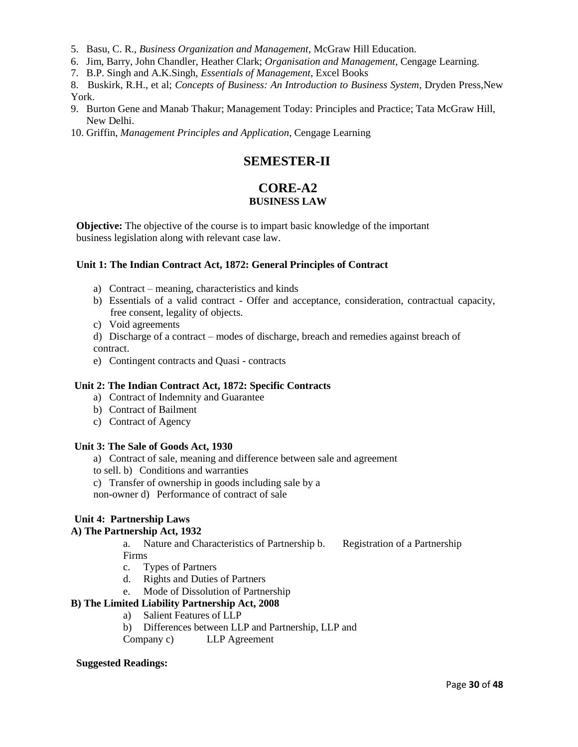- 5. Basu, C. R., *Business Organization and Management*, McGraw Hill Education.
- 6. Jim, Barry, John Chandler, Heather Clark; *Organisation and Management*, Cengage Learning.
- 7. B.P. Singh and A.K.Singh, *Essentials of Management*, Excel Books
- 8. Buskirk, R.H., et al; *Concepts of Business: An Introduction to Business System*, Dryden Press,New York.
- 9. Burton Gene and Manab Thakur; Management Today: Principles and Practice; Tata McGraw Hill, New Delhi.
- 10. Griffin, *Management Principles and Application*, Cengage Learning

# **SEMESTER-II**

# **CORE-A2 BUSINESS LAW**

**Objective:** The objective of the course is to impart basic knowledge of the important business legislation along with relevant case law.

# **Unit 1: The Indian Contract Act, 1872: General Principles of Contract**

- a) Contract meaning, characteristics and kinds
- b) Essentials of a valid contract Offer and acceptance, consideration, contractual capacity, free consent, legality of objects.
- c) Void agreements
- d) Discharge of a contract modes of discharge, breach and remedies against breach of contract.
- e) Contingent contracts and Quasi contracts

# **Unit 2: The Indian Contract Act, 1872: Specific Contracts**

- a) Contract of Indemnity and Guarantee
- b) Contract of Bailment
- c) Contract of Agency

# **Unit 3: The Sale of Goods Act, 1930**

- a) Contract of sale, meaning and difference between sale and agreement
- to sell. b) Conditions and warranties
- c) Transfer of ownership in goods including sale by a
- non-owner d) Performance of contract of sale

# **Unit 4: Partnership Laws**

# **A) The Partnership Act, 1932**

a. Nature and Characteristics of Partnership b. Registration of a Partnership Firms

- c. Types of Partners
- d. Rights and Duties of Partners
- e. Mode of Dissolution of Partnership

# **B) The Limited Liability Partnership Act, 2008**

- a) Salient Features of LLP
- b) Differences between LLP and Partnership, LLP and
- Company c) LLP Agreement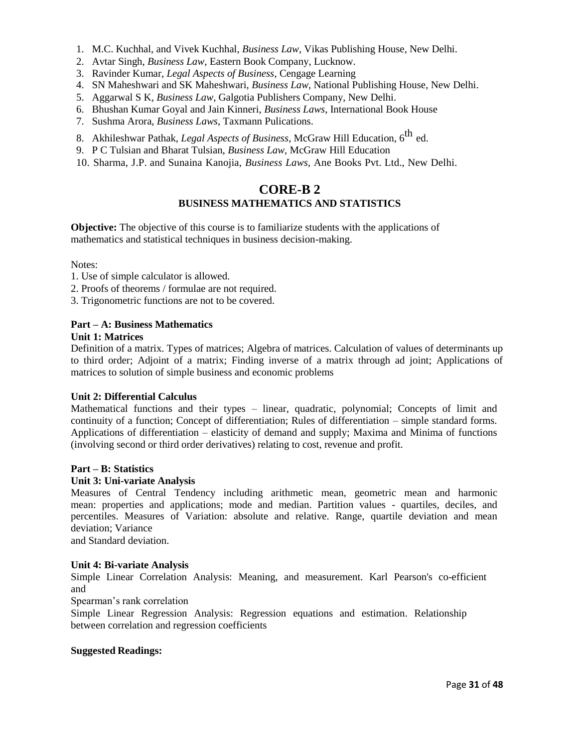- 1. M.C. Kuchhal, and Vivek Kuchhal, *Business Law*, Vikas Publishing House, New Delhi.
- 2. Avtar Singh, *Business Law*, Eastern Book Company, Lucknow.
- 3. Ravinder Kumar, *Legal Aspects of Business*, Cengage Learning
- 4. SN Maheshwari and SK Maheshwari, *Business Law*, National Publishing House, New Delhi.
- 5. Aggarwal S K, *Business Law*, Galgotia Publishers Company, New Delhi.
- 6. Bhushan Kumar Goyal and Jain Kinneri, *Business Laws*, International Book House
- 7. Sushma Arora, *Business Laws*, Taxmann Pulications.
- 8. Akhileshwar Pathak, *Legal Aspects of Business*, McGraw Hill Education, 6<sup>th</sup> ed.
- 9. P C Tulsian and Bharat Tulsian, *Business Law*, McGraw Hill Education
- 10. Sharma, J.P. and Sunaina Kanojia, *Business Laws*, Ane Books Pvt. Ltd., New Delhi.

# **CORE-B 2 BUSINESS MATHEMATICS AND STATISTICS**

**Objective:** The objective of this course is to familiarize students with the applications of mathematics and statistical techniques in business decision-making.

# Notes:

- 1. Use of simple calculator is allowed.
- 2. Proofs of theorems / formulae are not required.
- 3. Trigonometric functions are not to be covered.

#### **Part – A: Business Mathematics Unit 1: Matrices**

Definition of a matrix. Types of matrices; Algebra of matrices. Calculation of values of determinants up to third order; Adjoint of a matrix; Finding inverse of a matrix through ad joint; Applications of matrices to solution of simple business and economic problems

# **Unit 2: Differential Calculus**

Mathematical functions and their types – linear, quadratic, polynomial; Concepts of limit and continuity of a function; Concept of differentiation; Rules of differentiation – simple standard forms. Applications of differentiation – elasticity of demand and supply; Maxima and Minima of functions (involving second or third order derivatives) relating to cost, revenue and profit.

# **Part – B: Statistics**

#### **Unit 3: Uni-variate Analysis**

Measures of Central Tendency including arithmetic mean, geometric mean and harmonic mean: properties and applications; mode and median. Partition values - quartiles, deciles, and percentiles. Measures of Variation: absolute and relative. Range, quartile deviation and mean deviation; Variance

and Standard deviation.

# **Unit 4: Bi-variate Analysis**

Simple Linear Correlation Analysis: Meaning, and measurement. Karl Pearson's co-efficient and

Spearman's rank correlation

Simple Linear Regression Analysis: Regression equations and estimation. Relationship between correlation and regression coefficients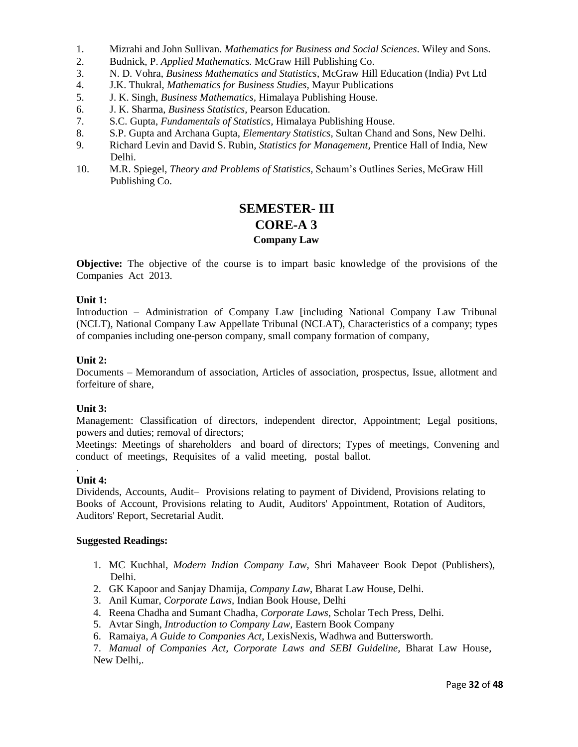- 1. Mizrahi and John Sullivan. *Mathematics for Business and Social Sciences*. Wiley and Sons.
- 2. Budnick, P. *Applied Mathematics.* McGraw Hill Publishing Co.
- 3. N. D. Vohra, *Business Mathematics and Statistics*, McGraw Hill Education (India) Pvt Ltd
- 4. J.K. Thukral, *Mathematics for Business Studies,* Mayur Publications
- 5. J. K. Singh, *Business Mathematics,* Himalaya Publishing House.
- 6. J. K. Sharma, *Business Statistics,* Pearson Education.
- 7. S.C. Gupta, *Fundamentals of Statistics,* Himalaya Publishing House.
- 8. S.P. Gupta and Archana Gupta, *Elementary Statistics,* Sultan Chand and Sons, New Delhi.
- 9. Richard Levin and David S. Rubin, *Statistics for Management,* Prentice Hall of India, New Delhi.
- 10. M.R. Spiegel, *Theory and Problems of Statistics,* Schaum's Outlines Series, McGraw Hill Publishing Co.

# **SEMESTER- III CORE-A 3 Company Law**

**Objective:** The objective of the course is to impart basic knowledge of the provisions of the Companies Act 2013.

## **Unit 1:**

Introduction – Administration of Company Law [including National Company Law Tribunal (NCLT), National Company Law Appellate Tribunal (NCLAT), Characteristics of a company; types of companies including one-person company, small company formation of company,

## **Unit 2:**

Documents – Memorandum of association, Articles of association, prospectus, Issue, allotment and forfeiture of share,

# **Unit 3:**

Management: Classification of directors, independent director, Appointment; Legal positions, powers and duties; removal of directors;

Meetings: Meetings of shareholders and board of directors; Types of meetings, Convening and conduct of meetings, Requisites of a valid meeting, postal ballot.

#### . **Unit 4:**

Dividends, Accounts, Audit– Provisions relating to payment of Dividend, Provisions relating to Books of Account, Provisions relating to Audit, Auditors' Appointment, Rotation of Auditors, Auditors' Report, Secretarial Audit.

#### **Suggested Readings:**

- 1. MC Kuchhal, *Modern Indian Company Law*, Shri Mahaveer Book Depot (Publishers), Delhi.
- 2. GK Kapoor and Sanjay Dhamija, *Company Law*, Bharat Law House, Delhi.
- 3. Anil Kumar, *Corporate Laws,* Indian Book House, Delhi
- 4. Reena Chadha and Sumant Chadha, *Corporate Laws*, Scholar Tech Press, Delhi.
- 5. Avtar Singh*, Introduction to Company Law,* Eastern Book Company
- 6. Ramaiya, *A Guide to Companies Act*, LexisNexis, Wadhwa and Buttersworth.

7. *Manual of Companies Act, Corporate Laws and SEBI Guideline,* Bharat Law House, New Delhi,.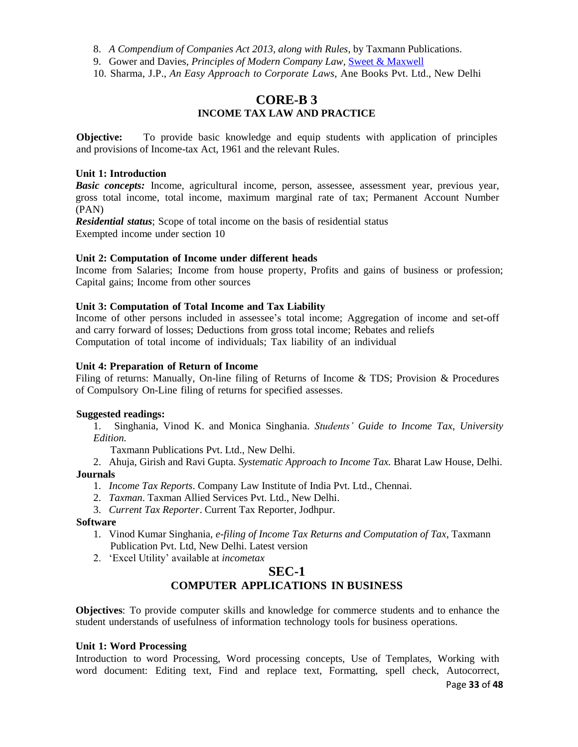8. *A Compendium of Companies Act 2013, along with Rules*, by Taxmann Publications.

9. Gower and Davies, *Principles of Modern Company Law*, Sweet & Maxwell

10. Sharma, J.P., *An Easy Approach to Corporate Laws*, Ane Books Pvt. Ltd., New Delhi

# **CORE-B 3 INCOME TAX LAW AND PRACTICE**

**Objective:** To provide basic knowledge and equip students with application of principles and provisions of Income-tax Act, 1961 and the relevant Rules.

# **Unit 1: Introduction**

*Basic concepts:* Income, agricultural income, person, assessee, assessment year, previous year, gross total income, total income, maximum marginal rate of tax; Permanent Account Number (PAN)

*Residential status*; Scope of total income on the basis of residential status Exempted income under section 10

# **Unit 2: Computation of Income under different heads**

Income from Salaries; Income from house property, Profits and gains of business or profession; Capital gains; Income from other sources

## **Unit 3: Computation of Total Income and Tax Liability**

Income of other persons included in assessee's total income; Aggregation of income and set-off and carry forward of losses; Deductions from gross total income; Rebates and reliefs Computation of total income of individuals; Tax liability of an individual

## **Unit 4: Preparation of Return of Income**

Filing of returns: Manually, On-line filing of Returns of Income & TDS; Provision & Procedures of Compulsory On-Line filing of returns for specified assesses.

#### **Suggested readings:**

1. Singhania, Vinod K. and Monica Singhania. *Students' Guide to Income Tax, University Edition.*

Taxmann Publications Pvt. Ltd., New Delhi.

2. Ahuja, Girish and Ravi Gupta. *Systematic Approach to Income Tax.* Bharat Law House, Delhi.

#### **Journals**

- 1. *Income Tax Reports*. Company Law Institute of India Pvt. Ltd., Chennai.
- 2. *Taxman*. Taxman Allied Services Pvt. Ltd., New Delhi.
- 3. *Current Tax Reporter*. Current Tax Reporter, Jodhpur.

#### **Software**

- 1. Vinod Kumar Singhania, *e-filing of Income Tax Returns and Computation of Tax*, Taxmann Publication Pvt. Ltd, New Delhi. Latest version
- 2. 'Excel Utility' available at *incometax*

# **SEC-1 COMPUTER APPLICATIONS IN BUSINESS**

**Objectives**: To provide computer skills and knowledge for commerce students and to enhance the student understands of usefulness of information technology tools for business operations.

#### **Unit 1: Word Processing**

Introduction to word Processing, Word processing concepts, Use of Templates, Working with word document: Editing text, Find and replace text, Formatting, spell check, Autocorrect,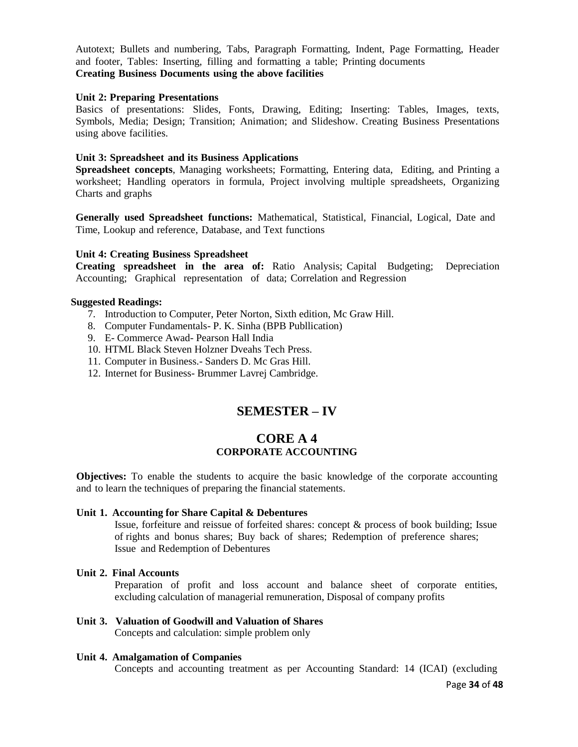Autotext; Bullets and numbering, Tabs, Paragraph Formatting, Indent, Page Formatting, Header and footer, Tables: Inserting, filling and formatting a table; Printing documents **Creating Business Documents using the above facilities**

#### **Unit 2: Preparing Presentations**

Basics of presentations: Slides, Fonts, Drawing, Editing; Inserting: Tables, Images, texts, Symbols, Media; Design; Transition; Animation; and Slideshow. Creating Business Presentations using above facilities.

#### **Unit 3: Spreadsheet and its Business Applications**

**Spreadsheet concepts**, Managing worksheets; Formatting, Entering data, Editing, and Printing a worksheet; Handling operators in formula, Project involving multiple spreadsheets, Organizing Charts and graphs

**Generally used Spreadsheet functions:** Mathematical, Statistical, Financial, Logical, Date and Time, Lookup and reference, Database, and Text functions

#### **Unit 4: Creating Business Spreadsheet**

**Creating spreadsheet in the area of:** Ratio Analysis; Capital Budgeting; Depreciation Accounting; Graphical representation of data; Correlation and Regression

#### **Suggested Readings:**

- 7. Introduction to Computer, Peter Norton, Sixth edition, Mc Graw Hill.
- 8. Computer Fundamentals- P. K. Sinha (BPB Publlication)
- 9. E- Commerce Awad- Pearson Hall India
- 10. HTML Black Steven Holzner Dveahs Tech Press.
- 11. Computer in Business.- Sanders D. Mc Gras Hill.
- 12. Internet for Business- Brummer Lavrej Cambridge.

# **SEMESTER – IV**

# **CORE A 4 CORPORATE ACCOUNTING**

**Objectives:** To enable the students to acquire the basic knowledge of the corporate accounting and to learn the techniques of preparing the financial statements.

# **Unit 1. Accounting for Share Capital & Debentures**

Issue, forfeiture and reissue of forfeited shares: concept & process of book building; Issue of rights and bonus shares; Buy back of shares; Redemption of preference shares; Issue and Redemption of Debentures

#### **Unit 2. Final Accounts**

Preparation of profit and loss account and balance sheet of corporate entities, excluding calculation of managerial remuneration, Disposal of company profits

**Unit 3. Valuation of Goodwill and Valuation of Shares** Concepts and calculation: simple problem only

#### **Unit 4. Amalgamation of Companies**

Concepts and accounting treatment as per Accounting Standard: 14 (ICAI) (excluding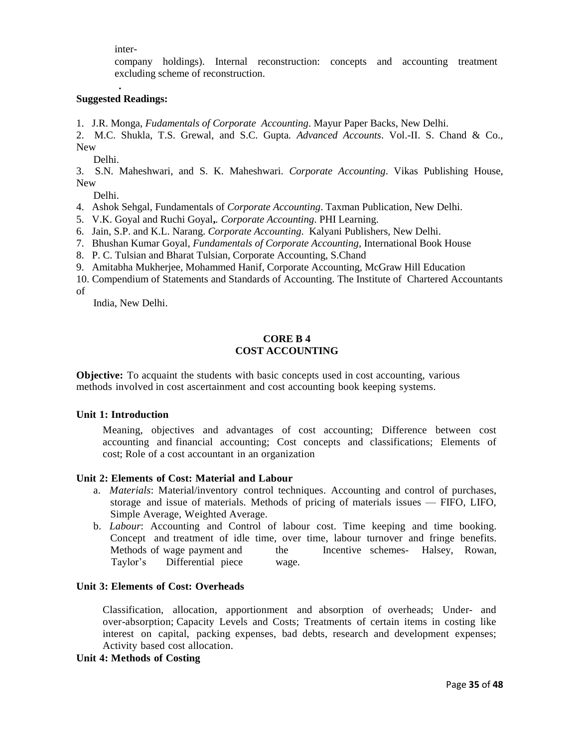inter-

company holdings). Internal reconstruction: concepts and accounting treatment excluding scheme of reconstruction.

# **. Suggested Readings:**

1. J.R. Monga, *Fudamentals of Corporate Accounting*. Mayur Paper Backs, New Delhi.

2. M.C. Shukla, T.S. Grewal, and S.C. Gupta*. Advanced Accounts*. Vol.-II. S. Chand & Co., New

Delhi.

3. S.N. Maheshwari, and S. K. Maheshwari. *Corporate Accounting*. Vikas Publishing House, New

Delhi.

- 4. Ashok Sehgal, Fundamentals of *Corporate Accounting*. Taxman Publication, New Delhi.
- 5. V.K. Goyal and Ruchi Goyal**,***. Corporate Accounting*. PHI Learning.
- 6. Jain, S.P. and K.L. Narang. *Corporate Accounting*. Kalyani Publishers, New Delhi.
- 7. Bhushan Kumar Goyal, *Fundamentals of Corporate Accounting,* International Book House
- 8. P. C. Tulsian and Bharat Tulsian, Corporate Accounting, S.Chand
- 9. Amitabha Mukherjee, Mohammed Hanif, Corporate Accounting, McGraw Hill Education
- 10. Compendium of Statements and Standards of Accounting. The Institute of Chartered Accountants of

India, New Delhi.

# **CORE B 4 COST ACCOUNTING**

**Objective:** To acquaint the students with basic concepts used in cost accounting, various methods involved in cost ascertainment and cost accounting book keeping systems.

## **Unit 1: Introduction**

Meaning, objectives and advantages of cost accounting; Difference between cost accounting and financial accounting; Cost concepts and classifications; Elements of cost; Role of a cost accountant in an organization

#### **Unit 2: Elements of Cost: Material and Labour**

- a. *Materials*: Material/inventory control techniques. Accounting and control of purchases, storage and issue of materials. Methods of pricing of materials issues — FIFO, LIFO, Simple Average, Weighted Average.
- b. *Labour*: Accounting and Control of labour cost. Time keeping and time booking. Concept and treatment of idle time, over time, labour turnover and fringe benefits. Methods of wage payment and the Incentive schemes- Halsey, Rowan, Taylor's Differential piece wage.

## **Unit 3: Elements of Cost: Overheads**

Classification, allocation, apportionment and absorption of overheads; Under- and over-absorption; Capacity Levels and Costs; Treatments of certain items in costing like interest on capital, packing expenses, bad debts, research and development expenses; Activity based cost allocation.

#### **Unit 4: Methods of Costing**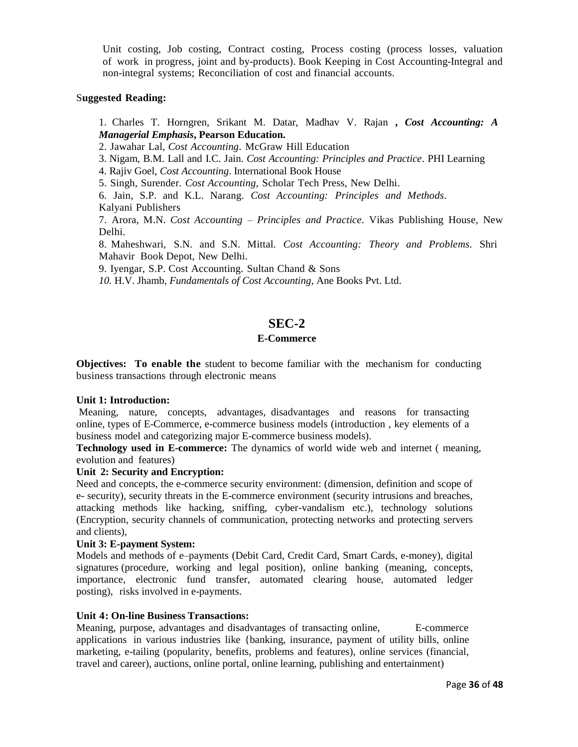Unit costing, Job costing, Contract costing, Process costing (process losses, valuation of work in progress, joint and by-products). Book Keeping in Cost Accounting-Integral and non-integral systems; Reconciliation of cost and financial accounts.

## S**uggested Reading:**

# 1. Charles T. Horngren, Srikant M. Datar, Madhav V. Rajan **,** *Cost Accounting: A Managerial Emphasis***, Pearson Education.**

2. Jawahar Lal, *Cost Accounting*. McGraw Hill Education

3. Nigam, B.M. Lall and I.C. Jain. *Cost Accounting: Principles and Practice*. PHI Learning

4. Rajiv Goel, *Cost Accounting*. International Book House

5. Singh, Surender. *Cost Accounting,* Scholar Tech Press*,* New Delhi.

6. Jain, S.P. and K.L. Narang. *Cost Accounting: Principles and Methods*. Kalyani Publishers

7. Arora, M.N. *Cost Accounting – Principles and Practice.* Vikas Publishing House, New Delhi.

8. Maheshwari, S.N. and S.N. Mittal. *Cost Accounting: Theory and Problems*. Shri Mahavir Book Depot, New Delhi.

9. Iyengar, S.P. Cost Accounting. Sultan Chand & Sons

*10.* H.V. Jhamb, *Fundamentals of Cost Accounting,* Ane Books Pvt. Ltd.

# **SEC-2**

# **E-Commerce**

**Objectives: To enable the** student to become familiar with the mechanism for conducting business transactions through electronic means

#### **Unit 1: Introduction:**

Meaning, nature, concepts, advantages, disadvantages and reasons for transacting online, types of E-Commerce, e-commerce business models (introduction , key elements of a business model and categorizing major E-commerce business models).

**Technology used in E-commerce:** The dynamics of world wide web and internet ( meaning, evolution and features)

# **Unit 2: Security and Encryption:**

Need and concepts, the e-commerce security environment: (dimension, definition and scope of e- security), security threats in the E-commerce environment (security intrusions and breaches, attacking methods like hacking, sniffing, cyber-vandalism etc.), technology solutions (Encryption, security channels of communication, protecting networks and protecting servers and clients),

#### **Unit 3: E-payment System:**

Models and methods of e–payments (Debit Card, Credit Card, Smart Cards, e-money), digital signatures (procedure, working and legal position), online banking (meaning, concepts, importance, electronic fund transfer, automated clearing house, automated ledger posting), risks involved in e-payments.

# **Unit 4: On-line Business Transactions:**

Meaning, purpose, advantages and disadvantages of transacting online, E-commerce applications in various industries like {banking, insurance, payment of utility bills, online marketing, e-tailing (popularity, benefits, problems and features), online services (financial, travel and career), auctions, online portal, online learning, publishing and entertainment)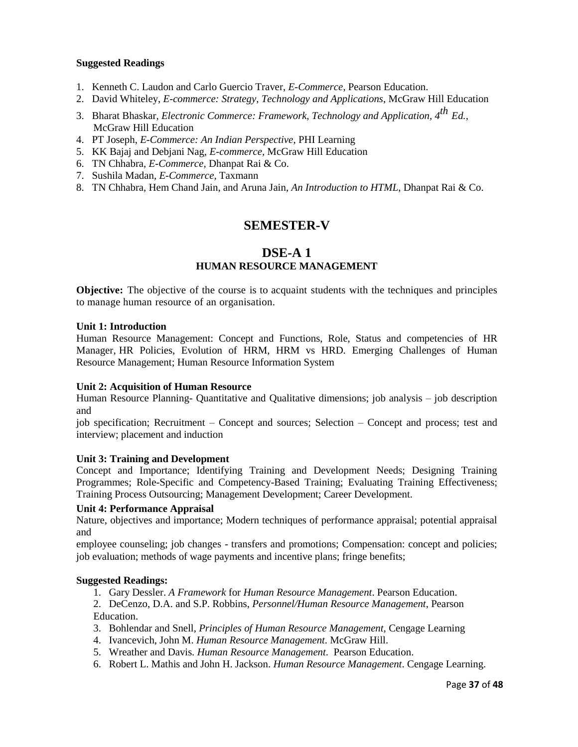# **Suggested Readings**

- 1. Kenneth C. Laudon and Carlo Guercio Traver, *E-Commerce*, Pearson Education.
- 2. David Whiteley, *E-commerce: Strategy, Technology and Applications*, McGraw Hill Education
- 3. Bharat Bhaskar, *Electronic Commerce: Framework, Technology and Application, 4th Ed.,* McGraw Hill Education
- 4. PT Joseph, *E-Commerce: An Indian Perspective*, PHI Learning
- 5. KK Bajaj and Debjani Nag, *E-commerce,* McGraw Hill Education
- 6. TN Chhabra, *E-Commerce,* Dhanpat Rai & Co.
- 7. Sushila Madan, *E-Commerce,* Taxmann
- 8. TN Chhabra, Hem Chand Jain, and Aruna Jain, *An Introduction to HTML*, Dhanpat Rai & Co.

# **SEMESTER-V**

# **DSE-A 1 HUMAN RESOURCE MANAGEMENT**

**Objective:** The objective of the course is to acquaint students with the techniques and principles to manage human resource of an organisation.

#### **Unit 1: Introduction**

Human Resource Management: Concept and Functions, Role, Status and competencies of HR Manager, HR Policies, Evolution of HRM, HRM vs HRD. Emerging Challenges of Human Resource Management; Human Resource Information System

#### **Unit 2: Acquisition of Human Resource**

Human Resource Planning- Quantitative and Qualitative dimensions; job analysis – job description and

job specification; Recruitment – Concept and sources; Selection – Concept and process; test and interview; placement and induction

#### **Unit 3: Training and Development**

Concept and Importance; Identifying Training and Development Needs; Designing Training Programmes; Role-Specific and Competency-Based Training; Evaluating Training Effectiveness; Training Process Outsourcing; Management Development; Career Development.

#### **Unit 4: Performance Appraisal**

Nature, objectives and importance; Modern techniques of performance appraisal; potential appraisal and

employee counseling; job changes - transfers and promotions; Compensation: concept and policies; job evaluation; methods of wage payments and incentive plans; fringe benefits;

#### **Suggested Readings:**

1. Gary Dessler. *A Framework* for *Human Resource Management*. Pearson Education.

2. DeCenzo, D.A. and S.P. Robbins, *Personnel/Human Resource Management*, Pearson Education.

- 3. Bohlendar and Snell, *Principles of Human Resource Management,* Cengage Learning
- 4. Ivancevich, John M. *Human Resource Management*. McGraw Hill.
- 5. Wreather and Davis. *Human Resource Management*. Pearson Education.
- 6. Robert L. Mathis and John H. Jackson. *Human Resource Management*. Cengage Learning.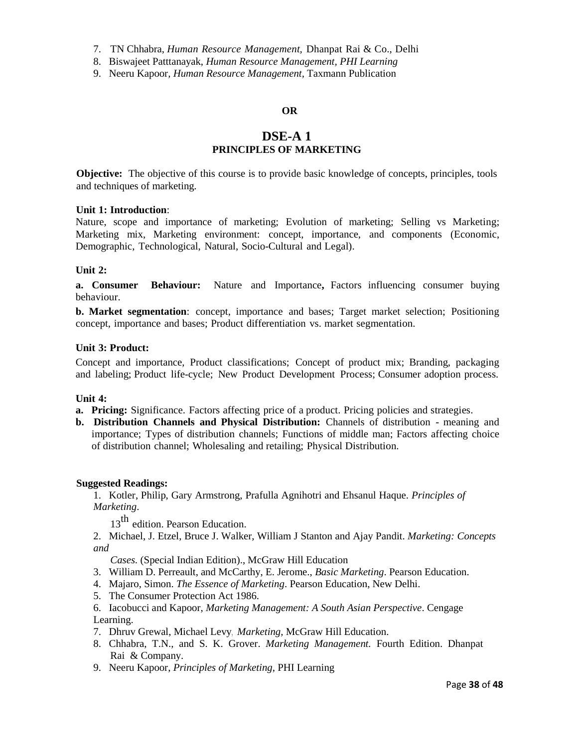7. TN Chhabra, *Human Resource Management,* Dhanpat Rai & Co., Delhi

8. Biswajeet Patttanayak, *Human Resource Management, PHI Learning*

9. Neeru Kapoor*, Human Resource Management,* Taxmann Publication

# **OR**

# **DSE-A 1 PRINCIPLES OF MARKETING**

**Objective:** The objective of this course is to provide basic knowledge of concepts, principles, tools and techniques of marketing.

#### **Unit 1: Introduction**:

Nature, scope and importance of marketing; Evolution of marketing; Selling vs Marketing; Marketing mix, Marketing environment: concept, importance, and components (Economic, Demographic, Technological, Natural, Socio-Cultural and Legal).

## **Unit 2:**

**a. Consumer Behaviour:** Nature and Importance**,** Factors influencing consumer buying behaviour.

**b. Market segmentation**: concept, importance and bases; Target market selection; Positioning concept, importance and bases; Product differentiation vs. market segmentation.

# **Unit 3: Product:**

Concept and importance, Product classifications; Concept of product mix; Branding, packaging and labeling; Product life-cycle; New Product Development Process; Consumer adoption process.

#### **Unit 4:**

- **a. Pricing:** Significance. Factors affecting price of a product. Pricing policies and strategies.
- **b. Distribution Channels and Physical Distribution:** Channels of distribution meaning and importance; Types of distribution channels; Functions of middle man; Factors affecting choice of distribution channel; Wholesaling and retailing; Physical Distribution.

#### **Suggested Readings:**

1. Kotler, Philip, Gary Armstrong, Prafulla Agnihotri and Ehsanul Haque. *Principles of Marketing*.

13<sup>th</sup> edition. Pearson Education.

2. Michael, J. Etzel, Bruce J. Walker, William J Stanton and Ajay Pandit. *Marketing: Concepts and*

*Cases.* (Special Indian Edition)., McGraw Hill Education

- 3. William D. Perreault, and McCarthy, E. Jerome., *Basic Marketing*. Pearson Education.
- 4. Majaro, Simon. *The Essence of Marketing*. Pearson Education, New Delhi.
- 5. The Consumer Protection Act 1986.
- 6. Iacobucci and Kapoor, *Marketing Management: A South Asian Perspective*. Cengage Learning.
- 7. Dhruv Grewal, Michael Levy, *Marketing,* McGraw Hill Education.
- 8. Chhabra, T.N., and S. K. Grover. *Marketing Management.* Fourth Edition. Dhanpat Rai & Company.
- 9. Neeru Kapoor, *Principles of Marketing*, PHI Learning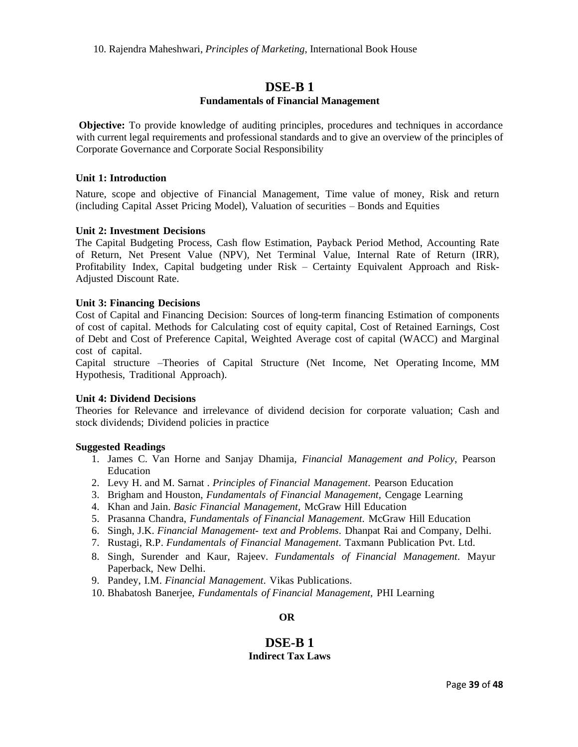# **DSE-B 1**

## **Fundamentals of Financial Management**

**Objective:** To provide knowledge of auditing principles, procedures and techniques in accordance with current legal requirements and professional standards and to give an overview of the principles of Corporate Governance and Corporate Social Responsibility

#### **Unit 1: Introduction**

Nature, scope and objective of Financial Management, Time value of money, Risk and return (including Capital Asset Pricing Model), Valuation of securities – Bonds and Equities

## **Unit 2: Investment Decisions**

The Capital Budgeting Process, Cash flow Estimation, Payback Period Method, Accounting Rate of Return, Net Present Value (NPV), Net Terminal Value, Internal Rate of Return (IRR), Profitability Index, Capital budgeting under Risk – Certainty Equivalent Approach and Risk-Adjusted Discount Rate.

## **Unit 3: Financing Decisions**

Cost of Capital and Financing Decision: Sources of long-term financing Estimation of components of cost of capital. Methods for Calculating cost of equity capital, Cost of Retained Earnings, Cost of Debt and Cost of Preference Capital, Weighted Average cost of capital (WACC) and Marginal cost of capital.

Capital structure –Theories of Capital Structure (Net Income, Net Operating Income, MM Hypothesis, Traditional Approach).

## **Unit 4: Dividend Decisions**

Theories for Relevance and irrelevance of dividend decision for corporate valuation; Cash and stock dividends; Dividend policies in practice

#### **Suggested Readings**

- 1. James C. Van Horne and Sanjay Dhamija, *Financial Management and Policy*, Pearson Education
- 2. Levy H. and M. Sarnat *. Principles of Financial Management*. Pearson Education
- 3. Brigham and Houston, *Fundamentals of Financial Management,* Cengage Learning
- 4. Khan and Jain. *Basic Financial Management*, McGraw Hill Education
- 5. Prasanna Chandra, *Fundamentals of Financial Management*. McGraw Hill Education
- 6. Singh, J.K. *Financial Management- text and Problems*. Dhanpat Rai and Company, Delhi.
- 7. Rustagi, R.P. *Fundamentals of Financial Management*. Taxmann Publication Pvt. Ltd.
- 8. Singh, Surender and Kaur, Rajeev. *Fundamentals of Financial Management*. Mayur Paperback, New Delhi.
- 9. Pandey, I.M. *Financial Management*. Vikas Publications.
- 10. Bhabatosh Banerjee, *Fundamentals of Financial Management,* PHI Learning

# **OR**

# **DSE-B 1 Indirect Tax Laws**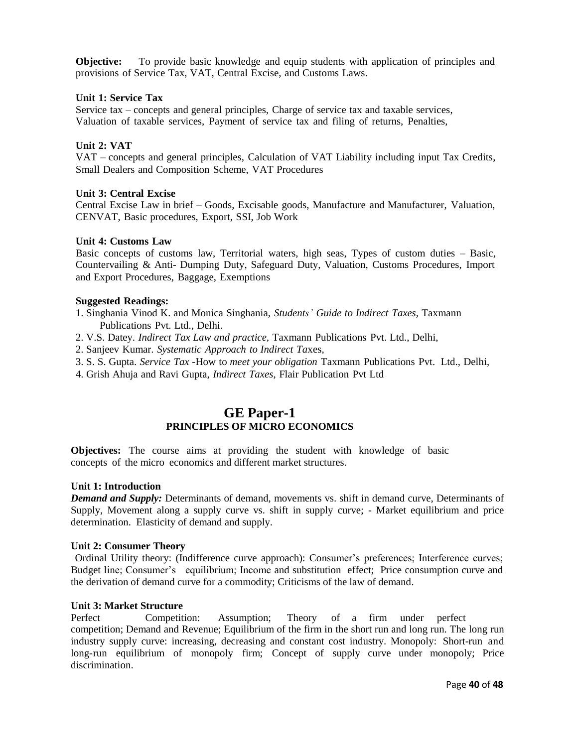**Objective:** To provide basic knowledge and equip students with application of principles and provisions of Service Tax, VAT, Central Excise, and Customs Laws.

#### **Unit 1: Service Tax**

Service tax – concepts and general principles, Charge of service tax and taxable services, Valuation of taxable services, Payment of service tax and filing of returns, Penalties,

## **Unit 2: VAT**

VAT – concepts and general principles, Calculation of VAT Liability including input Tax Credits, Small Dealers and Composition Scheme, VAT Procedures

#### **Unit 3: Central Excise**

Central Excise Law in brief – Goods, Excisable goods, Manufacture and Manufacturer, Valuation, CENVAT, Basic procedures, Export, SSI, Job Work

#### **Unit 4: Customs Law**

Basic concepts of customs law, Territorial waters, high seas, Types of custom duties – Basic, Countervailing & Anti- Dumping Duty, Safeguard Duty, Valuation, Customs Procedures, Import and Export Procedures, Baggage, Exemptions

#### **Suggested Readings:**

- 1. Singhania Vinod K. and Monica Singhania, *Students' Guide to Indirect Taxes,* Taxmann Publications Pvt. Ltd., Delhi.
- 2. V.S. Datey. *Indirect Tax Law and practice,* Taxmann Publications Pvt. Ltd., Delhi,
- 2. Sanjeev Kumar. *Systematic Approach to Indirect Ta*xes,
- 3. S. S. Gupta. *Service Tax -*How to *meet your obligation* Taxmann Publications Pvt. Ltd., Delhi,
- 4. Grish Ahuja and Ravi Gupta, *Indirect Taxes*, Flair Publication Pvt Ltd

# **GE Paper-1 PRINCIPLES OF MICRO ECONOMICS**

**Objectives:** The course aims at providing the student with knowledge of basic concepts of the micro economics and different market structures.

#### **Unit 1: Introduction**

*Demand and Supply:* Determinants of demand, movements vs. shift in demand curve, Determinants of Supply, Movement along a supply curve vs. shift in supply curve; - Market equilibrium and price determination. Elasticity of demand and supply.

#### **Unit 2: Consumer Theory**

Ordinal Utility theory: (Indifference curve approach): Consumer's preferences; Interference curves; Budget line; Consumer's equilibrium; Income and substitution effect; Price consumption curve and the derivation of demand curve for a commodity; Criticisms of the law of demand.

#### **Unit 3: Market Structure**

Perfect Competition: Assumption; Theory of a firm under perfect competition; Demand and Revenue; Equilibrium of the firm in the short run and long run. The long run industry supply curve: increasing, decreasing and constant cost industry. Monopoly: Short-run and long-run equilibrium of monopoly firm; Concept of supply curve under monopoly; Price discrimination.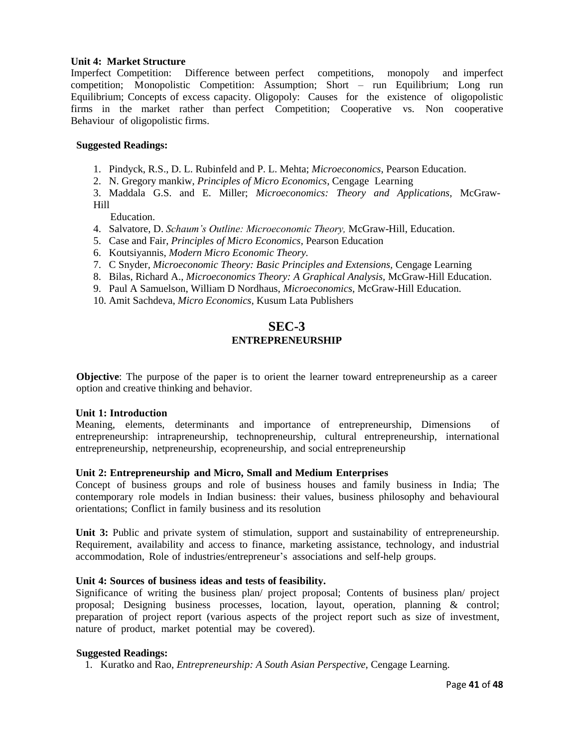## **Unit 4: Market Structure**

Imperfect Competition: Difference between perfect competitions, monopoly and imperfect competition; Monopolistic Competition: Assumption; Short – run Equilibrium; Long run Equilibrium; Concepts of excess capacity. Oligopoly: Causes for the existence of oligopolistic firms in the market rather than perfect Competition; Cooperative vs. Non cooperative Behaviour of oligopolistic firms.

# **Suggested Readings:**

- 1. Pindyck, R.S., D. L. Rubinfeld and P. L. Mehta; *Microeconomics*, Pearson Education.
- 2. N. Gregory mankiw, *Principles of Micro Economics*, Cengage Learning

3. Maddala G.S. and E. Miller; *Microeconomics: Theory and Applications,* McGraw-Hill

Education.

- 4. Salvatore, D. *Schaum's Outline: Microeconomic Theory,* McGraw-Hill, Education.
- 5. Case and Fair, *Principles of Micro Economics,* Pearson Education
- 6. Koutsiyannis, *Modern Micro Economic Theory.*
- 7. C Snyder*, Microeconomic Theory: Basic Principles and Extensions,* Cengage Learning
- 8. Bilas, Richard A., *Microeconomics Theory: A Graphical Analysis,* McGraw-Hill Education.
- 9. Paul A Samuelson, William D Nordhaus, *Microeconomics*, McGraw-Hill Education.
- 10. Amit Sachdeva, *Micro Economics*, Kusum Lata Publishers

# **SEC-3 ENTREPRENEURSHIP**

**Objective**: The purpose of the paper is to orient the learner toward entrepreneurship as a career option and creative thinking and behavior.

#### **Unit 1: Introduction**

Meaning, elements, determinants and importance of entrepreneurship, Dimensions of entrepreneurship: intrapreneurship, technopreneurship, cultural entrepreneurship, international entrepreneurship, netpreneurship, ecopreneurship, and social entrepreneurship

# **Unit 2: Entrepreneurship and Micro, Small and Medium Enterprises**

Concept of business groups and role of business houses and family business in India; The contemporary role models in Indian business: their values, business philosophy and behavioural orientations; Conflict in family business and its resolution

**Unit 3:** Public and private system of stimulation, support and sustainability of entrepreneurship. Requirement, availability and access to finance, marketing assistance, technology, and industrial accommodation, Role of industries/entrepreneur's associations and self-help groups.

# **Unit 4: Sources of business ideas and tests of feasibility.**

Significance of writing the business plan/ project proposal; Contents of business plan/ project proposal; Designing business processes, location, layout, operation, planning & control; preparation of project report (various aspects of the project report such as size of investment, nature of product, market potential may be covered).

### **Suggested Readings:**

1. Kuratko and Rao, *Entrepreneurship: A South Asian Perspective,* Cengage Learning.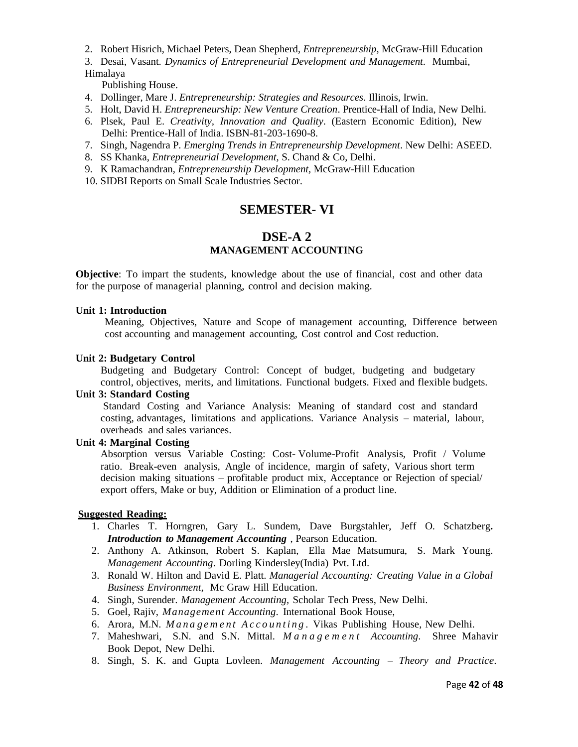2. Robert Hisrich, Michael Peters, Dean Shepherd, *Entrepreneurship,* McGraw-Hill Education

3. Desai, Vasant*. Dynamics of Entrepreneurial Development and Management*. Mumbai, Himalaya

Publishing House.

- 4. Dollinger, Mare J. *Entrepreneurship: Strategies and Resources*. Illinois, Irwin.
- 5. Holt, David H. *Entrepreneurship: New Venture Creation*. Prentice-Hall of India, New Delhi.
- 6. Plsek, Paul E. *Creativity, Innovation and Quality*. (Eastern Economic Edition), New Delhi: Prentice-Hall of India. ISBN-81-203-1690-8.
- 7. Singh, Nagendra P. *Emerging Trends in Entrepreneurship Development*. New Delhi: ASEED.
- 8. SS Khanka, *Entrepreneurial Development,* S. Chand & Co, Delhi.
- 9. K Ramachandran, *Entrepreneurship Development,* McGraw-Hill Education
- 10. SIDBI Reports on Small Scale Industries Sector.

# **SEMESTER- VI**

# **DSE-A 2 MANAGEMENT ACCOUNTING**

**Objective**: To impart the students, knowledge about the use of financial, cost and other data for the purpose of managerial planning, control and decision making.

# **Unit 1: Introduction**

Meaning, Objectives, Nature and Scope of management accounting, Difference between cost accounting and management accounting, Cost control and Cost reduction.

#### **Unit 2: Budgetary Control**

Budgeting and Budgetary Control: Concept of budget, budgeting and budgetary control, objectives, merits, and limitations. Functional budgets. Fixed and flexible budgets.

# **Unit 3: Standard Costing**

Standard Costing and Variance Analysis: Meaning of standard cost and standard costing, advantages, limitations and applications. Variance Analysis – material, labour, overheads and sales variances.

# **Unit 4: Marginal Costing**

Absorption versus Variable Costing: Cost- Volume-Profit Analysis, Profit / Volume ratio. Break-even analysis, Angle of incidence, margin of safety, Various short term decision making situations – profitable product mix, Acceptance or Rejection of special/ export offers, Make or buy, Addition or Elimination of a product line.

- 1. Charles T. Horngren, Gary L. Sundem, Dave Burgstahler, Jeff O. Schatzberg**.** *Introduction to Management Accounting* , Pearson Education.
- 2. Anthony A. Atkinson, Robert S. Kaplan, Ella Mae Matsumura, S. Mark Young. *Management Accounting*. Dorling Kindersley(India) Pvt. Ltd.
- 3. Ronald W. Hilton and David E. Platt. *Managerial Accounting: Creating Value in a Global Business Environment,* Mc Graw Hill Education.
- 4. Singh, Surender. *Management Accounting,* Scholar Tech Press, New Delhi.
- 5. Goel, Rajiv, *Management Accounting*. International Book House,
- 6. Arora, M.N. *M a n a g e m e n t A c c o u n t i n g .* Vikas Publishing House, New Delhi.
- 7. Maheshwari, S.N. and S.N. Mittal. *M a n a g e m e n t Accounting*. Shree Mahavir Book Depot, New Delhi.
- 8. Singh, S. K. and Gupta Lovleen. *Management Accounting – Theory and Practice*.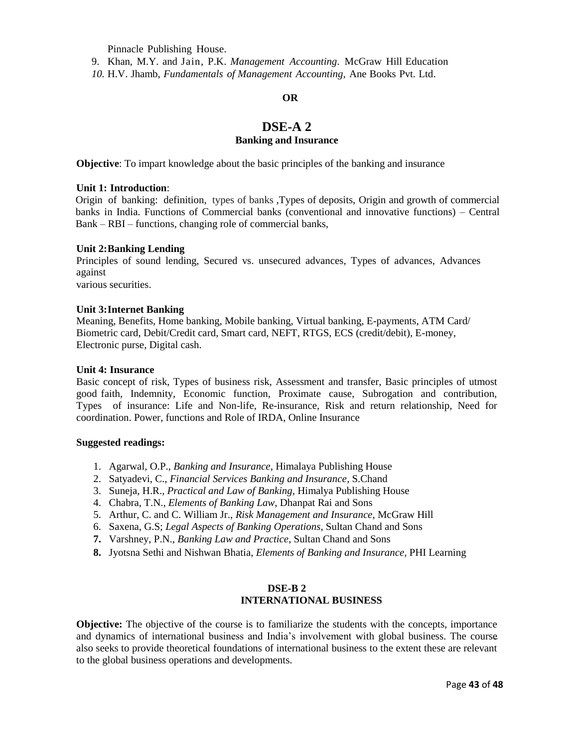Pinnacle Publishing House.

9. Khan, M.Y. and Jain, P.K. *Management Accounting*. McGraw Hill Education

*10.* H.V. Jhamb, *Fundamentals of Management Accounting,* Ane Books Pvt. Ltd.

## **OR**

# **DSE-A 2 Banking and Insurance**

**Objective**: To impart knowledge about the basic principles of the banking and insurance

# **Unit 1: Introduction**:

Origin of banking: definition, types of banks ,Types of deposits, Origin and growth of commercial banks in India. Functions of Commercial banks (conventional and innovative functions) – Central Bank – RBI – functions, changing role of commercial banks,

## **Unit 2:Banking Lending**

Principles of sound lending, Secured vs. unsecured advances, Types of advances, Advances against

various securities.

## **Unit 3:Internet Banking**

Meaning, Benefits, Home banking, Mobile banking, Virtual banking, E-payments, ATM Card/ Biometric card, Debit/Credit card, Smart card, NEFT, RTGS, ECS (credit/debit), E-money, Electronic purse, Digital cash.

## **Unit 4: Insurance**

Basic concept of risk, Types of business risk, Assessment and transfer, Basic principles of utmost good faith, Indemnity, Economic function, Proximate cause, Subrogation and contribution, Types of insurance: Life and Non-life, Re-insurance, Risk and return relationship, Need for coordination. Power, functions and Role of IRDA, Online Insurance

#### **Suggested readings:**

- 1. Agarwal, O.P., *Banking and Insurance*, Himalaya Publishing House
- 2. Satyadevi, C., *Financial Services Banking and Insurance*, S.Chand
- 3. Suneja, H.R., *Practical and Law of Banking*, Himalya Publishing House
- 4. Chabra, T.N., *Elements of Banking Law*, Dhanpat Rai and Sons
- 5. Arthur, C. and C. William Jr., *Risk Management and Insurance*, McGraw Hill
- 6. Saxena, G.S; *Legal Aspects of Banking Operations*, Sultan Chand and Sons
- **7.** Varshney, P.N., *Banking Law and Practice*, Sultan Chand and Sons
- **8.** Jyotsna Sethi and Nishwan Bhatia, *Elements of Banking and Insurance,* PHI Learning

# **DSE-B 2 INTERNATIONAL BUSINESS**

**Objective:** The objective of the course is to familiarize the students with the concepts, importance and dynamics of international business and India's involvement with global business. The course also seeks to provide theoretical foundations of international business to the extent these are relevant to the global business operations and developments.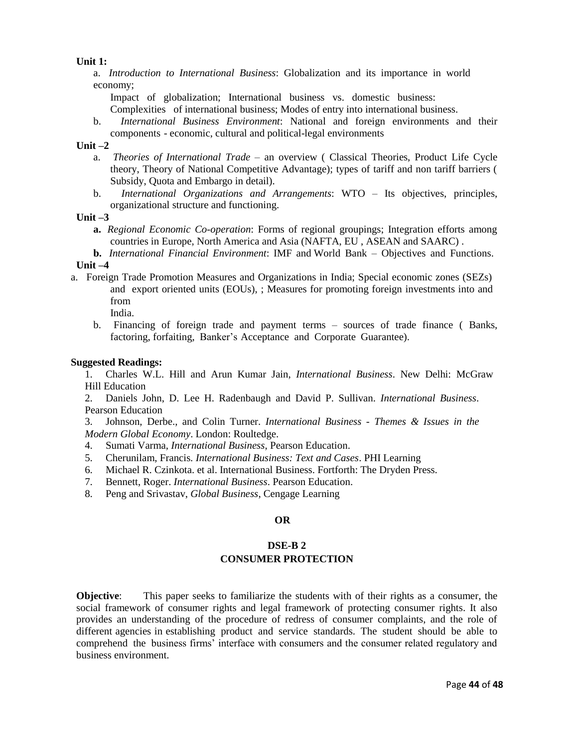## **Unit 1:**

a. *Introduction to International Business*: Globalization and its importance in world economy;

Impact of globalization; International business vs. domestic business:

Complexities of international business; Modes of entry into international business.

b. *International Business Environment*: National and foreign environments and their components - economic, cultural and political-legal environments

# **Unit –2**

- a. *Theories of International Trade* an overview ( Classical Theories, Product Life Cycle theory, Theory of National Competitive Advantage); types of tariff and non tariff barriers ( Subsidy, Quota and Embargo in detail).
- b. *International Organizations and Arrangements*: WTO Its objectives, principles, organizational structure and functioning.

## **Unit –3**

- **a.** *Regional Economic Co-operation*: Forms of regional groupings; Integration efforts among countries in Europe, North America and Asia (NAFTA, EU , ASEAN and SAARC) .
- **b.** *International Financial Environment*: IMF and World Bank Objectives and Functions.

# **Unit –4**

- a. Foreign Trade Promotion Measures and Organizations in India; Special economic zones (SEZs) and export oriented units (EOUs), ; Measures for promoting foreign investments into and from
	- India.
	- b. Financing of foreign trade and payment terms sources of trade finance ( Banks, factoring, forfaiting, Banker's Acceptance and Corporate Guarantee).

# **Suggested Readings:**

1. Charles W.L. Hill and Arun Kumar Jain, *International Business*. New Delhi: McGraw Hill Education

2. Daniels John, D. Lee H. Radenbaugh and David P. Sullivan. *International Business*. Pearson Education

3. Johnson, Derbe., and Colin Turner. *International Business - Themes & Issues in the Modern Global Economy*. London: Roultedge.

- 4. Sumati Varma, *International Business*, Pearson Education.
- 5. Cherunilam, Francis. *International Business: Text and Cases*. PHI Learning
- 6. Michael R. Czinkota. et al. International Business. Fortforth: The Dryden Press.
- 7. Bennett, Roger. *International Business*. Pearson Education.
- 8. Peng and Srivastav, *Global Business*, Cengage Learning

# **OR**

# **DSE-B 2 CONSUMER PROTECTION**

**Objective**: This paper seeks to familiarize the students with of their rights as a consumer, the social framework of consumer rights and legal framework of protecting consumer rights. It also provides an understanding of the procedure of redress of consumer complaints, and the role of different agencies in establishing product and service standards. The student should be able to comprehend the business firms' interface with consumers and the consumer related regulatory and business environment.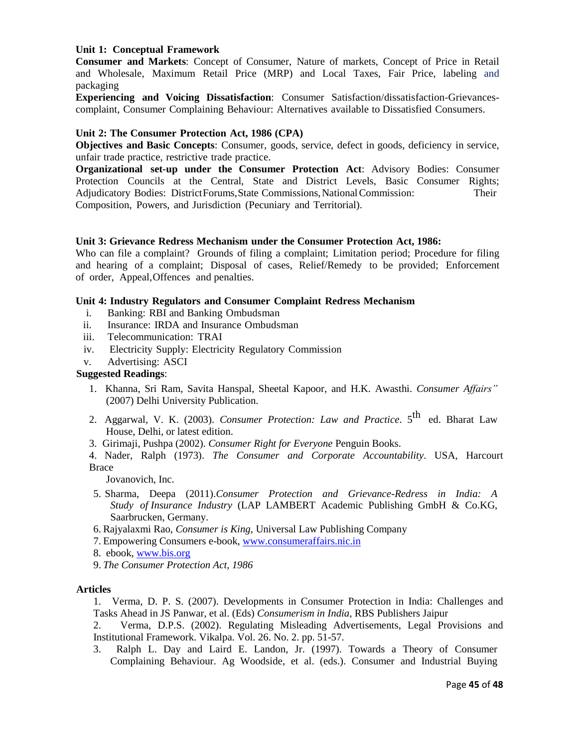# **Unit 1: Conceptual Framework**

**Consumer and Markets**: Concept of Consumer, Nature of markets, Concept of Price in Retail and Wholesale, Maximum Retail Price (MRP) and Local Taxes, Fair Price, labeling and packaging

**Experiencing and Voicing Dissatisfaction**: Consumer Satisfaction/dissatisfaction-Grievancescomplaint, Consumer Complaining Behaviour: Alternatives available to Dissatisfied Consumers.

#### **Unit 2: The Consumer Protection Act, 1986 (CPA)**

**Objectives and Basic Concepts**: Consumer, goods, service, defect in goods, deficiency in service, unfair trade practice, restrictive trade practice.

**Organizational set-up under the Consumer Protection Act**: Advisory Bodies: Consumer Protection Councils at the Central, State and District Levels, Basic Consumer Rights; Adjudicatory Bodies: DistrictForums,State Commissions,National Commission: Their Composition, Powers, and Jurisdiction (Pecuniary and Territorial).

#### **Unit 3: Grievance Redress Mechanism under the Consumer Protection Act, 1986:**

Who can file a complaint? Grounds of filing a complaint; Limitation period; Procedure for filing and hearing of a complaint; Disposal of cases, Relief/Remedy to be provided; Enforcement of order, Appeal,Offences and penalties.

## **Unit 4: Industry Regulators and Consumer Complaint Redress Mechanism**

- i. Banking: RBI and Banking Ombudsman
- ii. Insurance: IRDA and Insurance Ombudsman
- iii. Telecommunication: TRAI
- iv. Electricity Supply: Electricity Regulatory Commission
- v. Advertising: ASCI

#### **Suggested Readings**:

- 1. Khanna, Sri Ram, Savita Hanspal, Sheetal Kapoor, and H.K. Awasthi. *Consumer Affairs"* (2007) Delhi University Publication.
- 2. Aggarwal, V. K. (2003). *Consumer Protection: Law and Practice*. 5 th ed. Bharat Law House, Delhi, or latest edition.
- 3. Girimaji, Pushpa (2002). *Consumer Right for Everyone* Penguin Books.

4. Nader, Ralph (1973). *The Consumer and Corporate Accountability*. USA, Harcourt Brace

Jovanovich, Inc.

- 5. Sharma, Deepa (2011).*Consumer Protection and Grievance-Redress in India: A Study of Insurance Industry* (LAP LAMBERT Academic Publishing GmbH & Co.KG, Saarbrucken, Germany.
- 6. Rajyalaxmi Rao, *Consumer is King,* Universal Law Publishing Company
- 7. Empowering Consumers e-book, [www.consumeraffairs.nic.in](http://www.consumeraffairs.nic.in/)
- 8. ebook, [www.bis.org](http://www.bis.org/)
- 9. *The Consumer Protection Act, 1986*

#### **Articles**

- 1. Verma, D. P. S. (2007). Developments in Consumer Protection in India: Challenges and Tasks Ahead in JS Panwar, et al. (Eds) *Consumerism in India,* RBS Publishers Jaipur
- 2. Verma, D.P.S. (2002). Regulating Misleading Advertisements, Legal Provisions and Institutional Framework. Vikalpa. Vol. 26. No. 2. pp. 51-57.
- 3. Ralph L. Day and Laird E. Landon, Jr. (1997). Towards a Theory of Consumer Complaining Behaviour. Ag Woodside, et al. (eds.). Consumer and Industrial Buying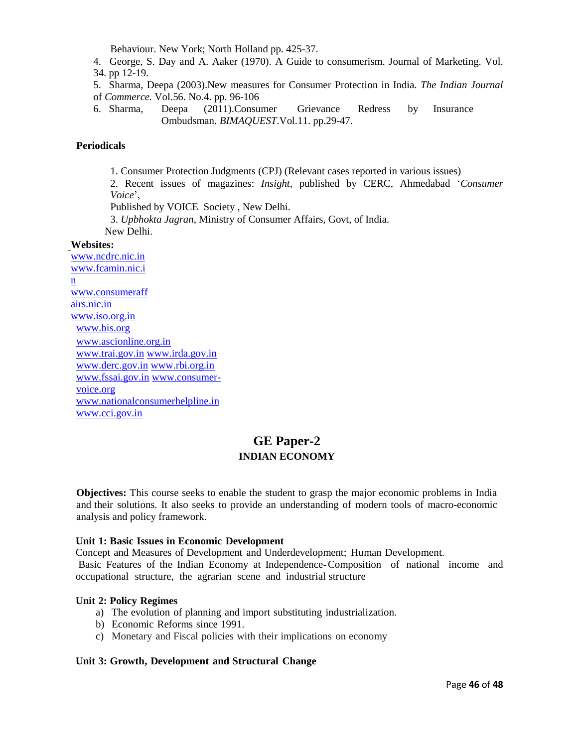Behaviour. New York; North Holland pp. 425-37.

4. George, S. Day and A. Aaker (1970). A Guide to consumerism. Journal of Marketing. Vol. 34. pp 12-19.

5. Sharma, Deepa (2003).New measures for Consumer Protection in India. *The Indian Journal* of *Commerce.* Vol.56. No.4. pp. 96-106

6. Sharma, Deepa (2011).Consumer Grievance Redress by Insurance Ombudsman. *BIMAQUEST*.Vol.11. pp.29-47.

# **Periodicals**

1. Consumer Protection Judgments (CPJ) (Relevant cases reported in various issues) 2. Recent issues of magazines: *Insight*, published by CERC, Ahmedabad '*Consumer Voice*', Published by VOICE Society , New Delhi.

3. *Upbhokta Jagran*, Ministry of Consumer Affairs, Govt, of India.

New Delhi.

## **Websites:**

[www.ncdrc.nic.in](http://www.ncdrc.nic.in/) [www.fcamin.nic.i](http://www.fcamin.nic.in/) [n](http://www.fcamin.nic.in/) [www.consumeraff](http://www.consumeraffairs.nic.in/) [airs.nic.in](http://www.consumeraffairs.nic.in/) [www.iso.org.in](http://www.iso.org.in/) [www.bis.org](http://www.bis.org/) [www.ascionline.org.in](http://www.ascionline.org.in/) [www.trai.gov.in](http://www.trai.gov.in/) [www.irda.gov.in](http://www.irda.gov.in/) [www.derc.gov.in](http://www.derc.gov.in/) [www.rbi.org.in](http://www.rbi.org.in/) [www.fssai.gov.in](http://www.fssai.gov.in/) [www.consumer](http://www.consumer-voice.org/)[voice.org](http://www.consumer-voice.org/) [www.nationalconsumerhelpline.in](http://www.nationalconsumerhelpline.in/) [www.cci.gov.in](http://www.cci.gov.in/)

# **GE Paper-2 INDIAN ECONOMY**

**Objectives:** This course seeks to enable the student to grasp the major economic problems in India and their solutions. It also seeks to provide an understanding of modern tools of macro-economic analysis and policy framework.

# **Unit 1: Basic Issues in Economic Development**

Concept and Measures of Development and Underdevelopment; Human Development.

Basic Features of the Indian Economy at Independence**-**Composition of national income and occupational structure, the agrarian scene and industrial structure

# **Unit 2: Policy Regimes**

- a) The evolution of planning and import substituting industrialization.
- b) Economic Reforms since 1991.
- c) Monetary and Fiscal policies with their implications on economy

# **Unit 3: Growth, Development and Structural Change**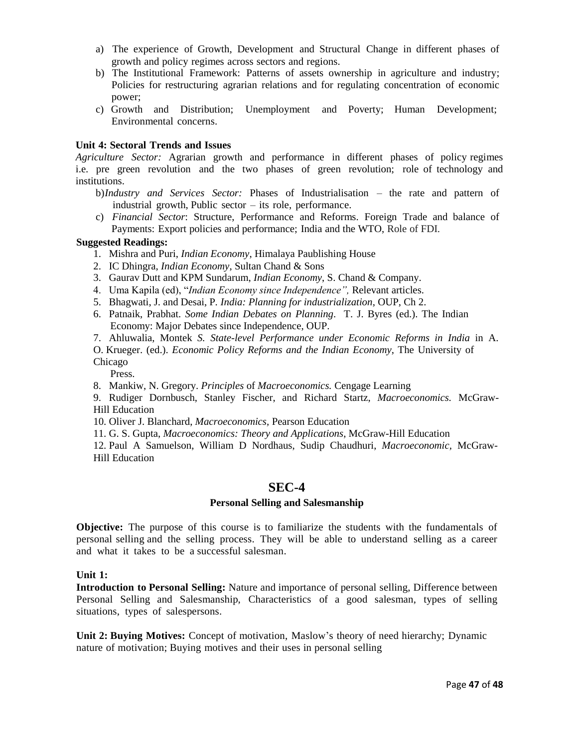- a) The experience of Growth, Development and Structural Change in different phases of growth and policy regimes across sectors and regions.
- b) The Institutional Framework: Patterns of assets ownership in agriculture and industry; Policies for restructuring agrarian relations and for regulating concentration of economic power;
- c) Growth and Distribution; Unemployment and Poverty; Human Development; Environmental concerns.

# **Unit 4: Sectoral Trends and Issues**

*Agriculture Sector:* Agrarian growth and performance in different phases of policy regimes i.e. pre green revolution and the two phases of green revolution; role of technology and institutions.

- b)*Industry and Services Sector:* Phases of Industrialisation the rate and pattern of industrial growth, Public sector – its role, performance.
- c) *Financial Sector*: Structure, Performance and Reforms. Foreign Trade and balance of Payments: Export policies and performance; India and the WTO, Role of FDI.

#### **Suggested Readings:**

- 1. Mishra and Puri, *Indian Economy*, Himalaya Paublishing House
- 2. IC Dhingra, *Indian Economy*, Sultan Chand & Sons
- 3. Gaurav Dutt and KPM Sundarum, *Indian Economy*, S. Chand & Company.
- 4. Uma Kapila (ed), "*Indian Economy since Independence",* Relevant articles.
- 5. Bhagwati, J. and Desai, P*. India: Planning for industrialization*, OUP, Ch 2.
- 6. Patnaik, Prabhat. *Some Indian Debates on Planning*. T. J. Byres (ed.). The Indian Economy: Major Debates since Independence, OUP.
- 7. Ahluwalia, Montek *S. State-level Performance under Economic Reforms in India* in A.
- O. Krueger. (ed.). *Economic Policy Reforms and the Indian Economy*, The University of Chicago

Press.

8. Mankiw, N. Gregory. *Principles* of *Macroeconomics.* Cengage Learning

9. Rudiger Dornbusch, Stanley Fischer, and Richard Startz, *Macroeconomics.* McGraw-Hill Education

10. Oliver J. Blanchard, *Macroeconomics,* Pearson Education

11. G. S. Gupta, *Macroeconomics: Theory and Applications*, McGraw-Hill Education

12. Paul A Samuelson, William D Nordhaus, Sudip Chaudhuri, *Macroeconomic,* McGraw-Hill Education

# **SEC-4**

#### **Personal Selling and Salesmanship**

**Objective:** The purpose of this course is to familiarize the students with the fundamentals of personal selling and the selling process. They will be able to understand selling as a career and what it takes to be a successful salesman.

 **Unit 1:**

**Introduction to Personal Selling:** Nature and importance of personal selling, Difference between Personal Selling and Salesmanship, Characteristics of a good salesman, types of selling situations, types of salespersons.

**Unit 2: Buying Motives:** Concept of motivation, Maslow's theory of need hierarchy; Dynamic nature of motivation; Buying motives and their uses in personal selling